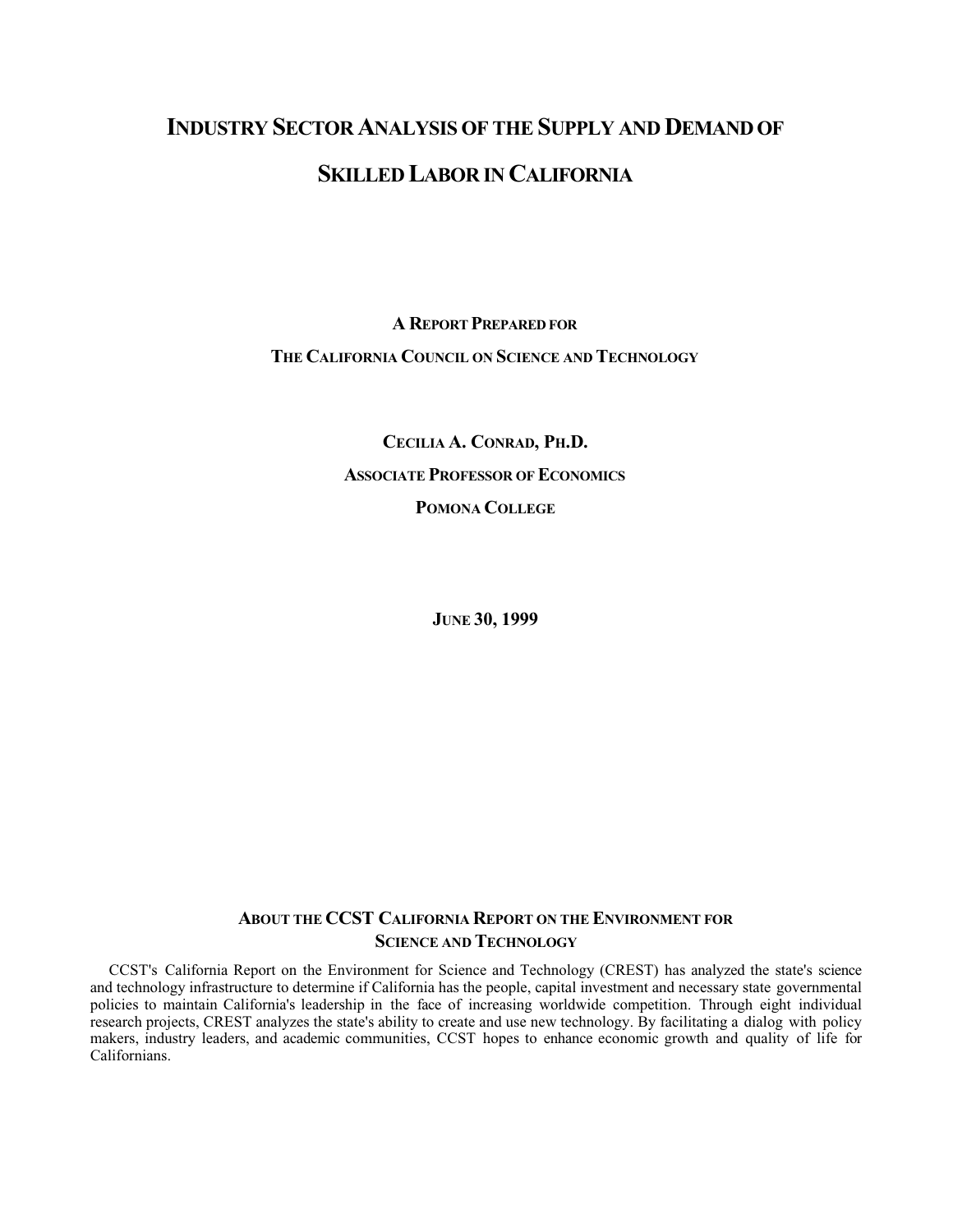# **INDUSTRY SECTOR ANALYSIS OF THE SUPPLY AND DEMAND OF SKILLED LABOR IN CALIFORNIA**

**A REPORT PREPARED FOR THE CALIFORNIA COUNCIL ON SCIENCE AND TECHNOLOGY**

> **CECILIA A. CONRAD, PH.D. ASSOCIATE PROFESSOR OF ECONOMICS POMONA COLLEGE**

> > **JUNE 30, 1999**

# **ABOUT THE CCST CALIFORNIA REPORT ON THE ENVIRONMENT FOR SCIENCE AND TECHNOLOGY**

CCST's California Report on the Environment for Science and Technology (CREST) has analyzed the state's science and technology infrastructure to determine if California has the people, capital investment and necessary state governmental policies to maintain California's leadership in the face of increasing worldwide competition. Through eight individual research projects, CREST analyzes the state's ability to create and use new technology. By facilitating a dialog with policy makers, industry leaders, and academic communities, CCST hopes to enhance economic growth and quality of life for Californians.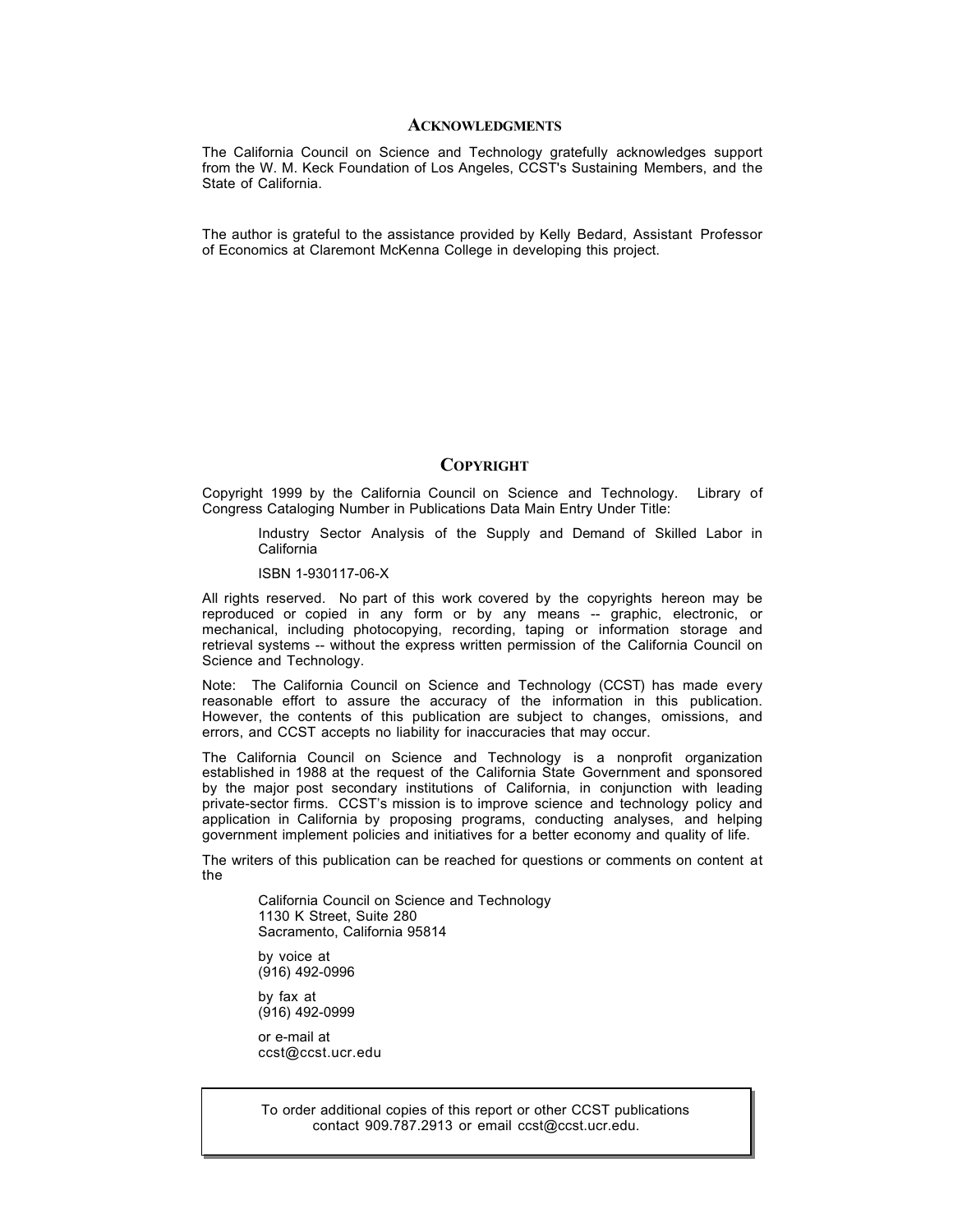#### **ACKNOWLEDGMENTS**

The California Council on Science and Technology gratefully acknowledges support from the W. M. Keck Foundation of Los Angeles, CCST's Sustaining Members, and the State of California.

The author is grateful to the assistance provided by Kelly Bedard, Assistant Professor of Economics at Claremont McKenna College in developing this project.

#### **COPYRIGHT**

Copyright 1999 by the California Council on Science and Technology. Library of Congress Cataloging Number in Publications Data Main Entry Under Title:

Industry Sector Analysis of the Supply and Demand of Skilled Labor in California

ISBN 1-930117-06-X

All rights reserved. No part of this work covered by the copyrights hereon may be reproduced or copied in any form or by any means -- graphic, electronic, or mechanical, including photocopying, recording, taping or information storage and retrieval systems -- without the express written permission of the California Council on Science and Technology.

Note: The California Council on Science and Technology (CCST) has made every reasonable effort to assure the accuracy of the information in this publication. However, the contents of this publication are subject to changes, omissions, and errors, and CCST accepts no liability for inaccuracies that may occur.

The California Council on Science and Technology is a nonprofit organization established in 1988 at the request of the California State Government and sponsored by the major post secondary institutions of California, in conjunction with leading private-sector firms. CCST's mission is to improve science and technology policy and application in California by proposing programs, conducting analyses, and helping government implement policies and initiatives for a better economy and quality of life.

The writers of this publication can be reached for questions or comments on content at the

California Council on Science and Technology 1130 K Street, Suite 280 Sacramento, California 95814

by voice at (916) 492-0996

by fax at (916) 492-0999

or e-mail at ccst@ccst.ucr.edu

To order additional copies of this report or other CCST publications contact 909.787.2913 or email ccst@ccst.ucr.edu.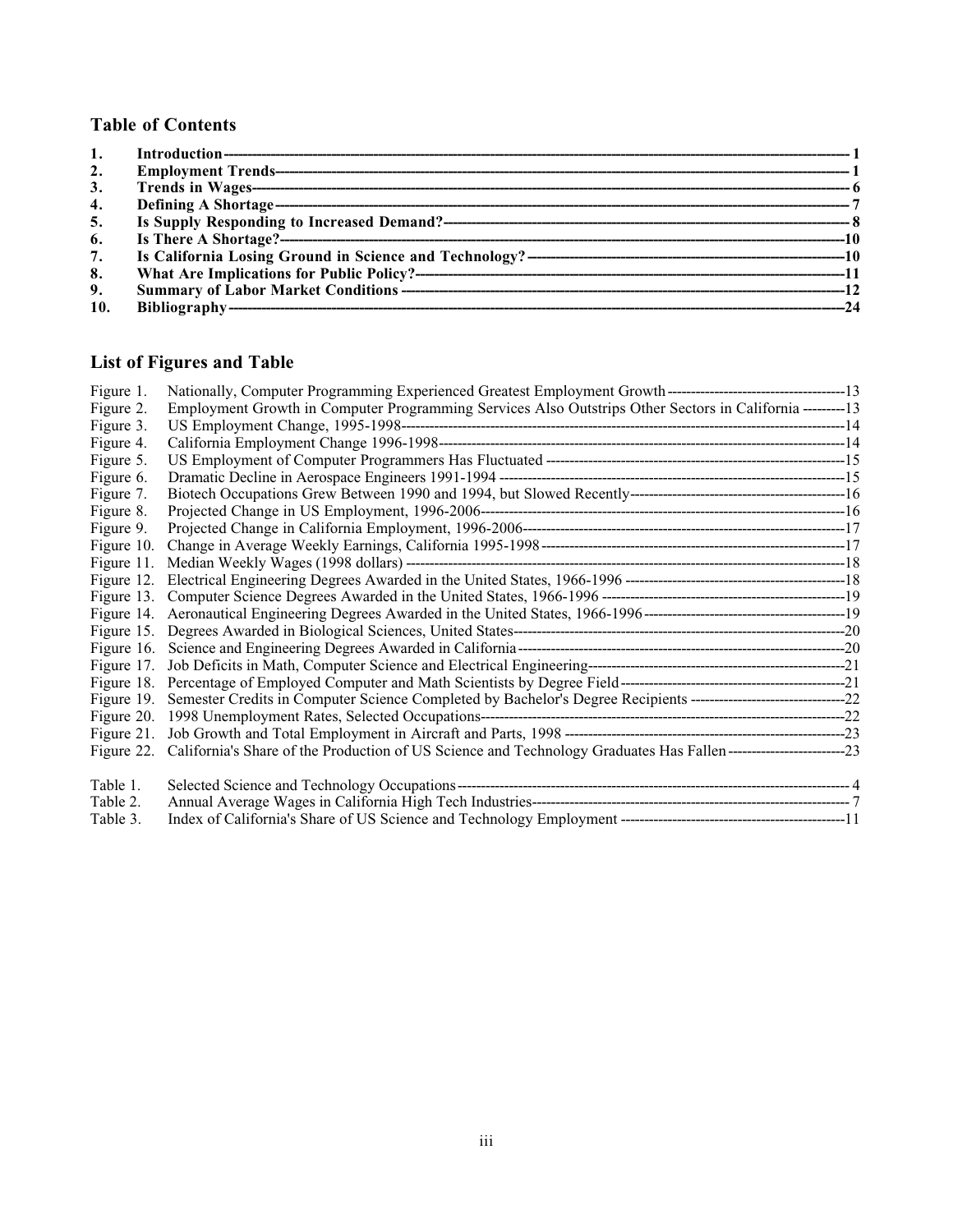# **Table of Contents**

| $\overline{2}$ . |  |
|------------------|--|
| 3.               |  |
| 4.               |  |
| 5.               |  |
| 6.               |  |
| 7.               |  |
| 8.               |  |
| 9.               |  |
| 10.              |  |

# **List of Figures and Table**

| Figure 1.  |                                                                                                                                 |  |
|------------|---------------------------------------------------------------------------------------------------------------------------------|--|
| Figure 2.  | Employment Growth in Computer Programming Services Also Outstrips Other Sectors in California --------13                        |  |
| Figure 3.  |                                                                                                                                 |  |
| Figure 4.  |                                                                                                                                 |  |
| Figure 5.  |                                                                                                                                 |  |
| Figure 6.  |                                                                                                                                 |  |
| Figure 7.  |                                                                                                                                 |  |
| Figure 8.  |                                                                                                                                 |  |
| Figure 9.  |                                                                                                                                 |  |
| Figure 10. |                                                                                                                                 |  |
| Figure 11. |                                                                                                                                 |  |
|            |                                                                                                                                 |  |
|            |                                                                                                                                 |  |
|            |                                                                                                                                 |  |
|            |                                                                                                                                 |  |
|            |                                                                                                                                 |  |
|            |                                                                                                                                 |  |
|            |                                                                                                                                 |  |
|            |                                                                                                                                 |  |
|            |                                                                                                                                 |  |
|            |                                                                                                                                 |  |
|            | Figure 22. California's Share of the Production of US Science and Technology Graduates Has Fallen----------------------------23 |  |
|            |                                                                                                                                 |  |
| Table 1.   |                                                                                                                                 |  |
| Table 2.   |                                                                                                                                 |  |
| Table 3.   |                                                                                                                                 |  |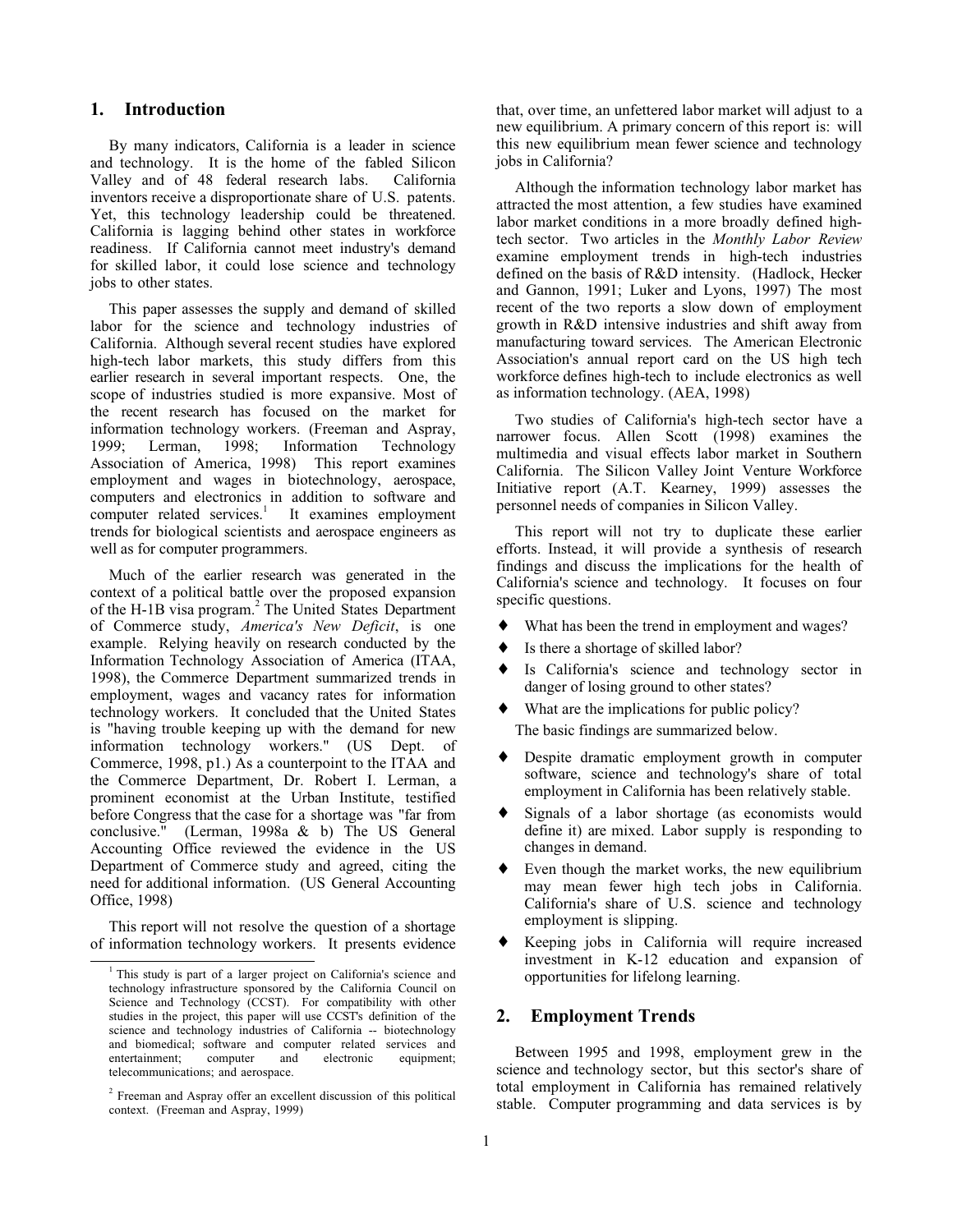#### **1. Introduction**

By many indicators, California is a leader in science and technology. It is the home of the fabled Silicon Valley and of 48 federal research labs. California inventors receive a disproportionate share of U.S. patents. Yet, this technology leadership could be threatened. California is lagging behind other states in workforce readiness. If California cannot meet industry's demand for skilled labor, it could lose science and technology jobs to other states.

This paper assesses the supply and demand of skilled labor for the science and technology industries of California. Although several recent studies have explored high-tech labor markets, this study differs from this earlier research in several important respects. One, the scope of industries studied is more expansive. Most of the recent research has focused on the market for information technology workers. (Freeman and Aspray, 1999; Lerman, 1998; Information Technology Association of America, 1998) This report examines employment and wages in biotechnology, aerospace, computers and electronics in addition to software and computer related services.<sup>1</sup> It examines employment trends for biological scientists and aerospace engineers as well as for computer programmers.

Much of the earlier research was generated in the context of a political battle over the proposed expansion of the H-1B visa program.<sup>2</sup> The United States Department of Commerce study, *America's New Deficit*, is one example. Relying heavily on research conducted by the Information Technology Association of America (ITAA, 1998), the Commerce Department summarized trends in employment, wages and vacancy rates for information technology workers. It concluded that the United States is "having trouble keeping up with the demand for new information technology workers." (US Dept. of Commerce, 1998, p1.) As a counterpoint to the ITAA and the Commerce Department, Dr. Robert I. Lerman, a prominent economist at the Urban Institute, testified before Congress that the case for a shortage was "far from conclusive." (Lerman, 1998a & b) The US General (Lerman, 1998a  $&$  b) The US General Accounting Office reviewed the evidence in the US Department of Commerce study and agreed, citing the need for additional information. (US General Accounting Office, 1998)

This report will not resolve the question of a shortage of information technology workers. It presents evidence that, over time, an unfettered labor market will adjust to a new equilibrium. A primary concern of this report is: will this new equilibrium mean fewer science and technology jobs in California?

Although the information technology labor market has attracted the most attention, a few studies have examined labor market conditions in a more broadly defined hightech sector. Two articles in the *Monthly Labor Review* examine employment trends in high-tech industries defined on the basis of R&D intensity. (Hadlock, Hecker and Gannon, 1991; Luker and Lyons, 1997) The most recent of the two reports a slow down of employment growth in R&D intensive industries and shift away from manufacturing toward services. The American Electronic Association's annual report card on the US high tech workforce defines high-tech to include electronics as well as information technology. (AEA, 1998)

Two studies of California's high-tech sector have a narrower focus. Allen Scott (1998) examines the multimedia and visual effects labor market in Southern California. The Silicon Valley Joint Venture Workforce Initiative report (A.T. Kearney, 1999) assesses the personnel needs of companies in Silicon Valley.

This report will not try to duplicate these earlier efforts. Instead, it will provide a synthesis of research findings and discuss the implications for the health of California's science and technology. It focuses on four specific questions.

- What has been the trend in employment and wages?
- Is there a shortage of skilled labor?
- Is California's science and technology sector in danger of losing ground to other states?
- What are the implications for public policy?

The basic findings are summarized below.

- ♦ Despite dramatic employment growth in computer software, science and technology's share of total employment in California has been relatively stable.
- Signals of a labor shortage (as economists would define it) are mixed. Labor supply is responding to changes in demand.
- $\bullet$  Even though the market works, the new equilibrium may mean fewer high tech jobs in California. California's share of U.S. science and technology employment is slipping.
- ♦ Keeping jobs in California will require increased investment in K-12 education and expansion of opportunities for lifelong learning.

#### **2. Employment Trends**

Between 1995 and 1998, employment grew in the science and technology sector, but this sector's share of total employment in California has remained relatively stable. Computer programming and data services is by

 $\frac{1}{1}$ <sup>1</sup> This study is part of a larger project on California's science and technology infrastructure sponsored by the California Council on Science and Technology (CCST). For compatibility with other studies in the project, this paper will use CCST's definition of the science and technology industries of California -- biotechnology and biomedical; software and computer related services and entertainment; computer and electronic equipment; telecommunications; and aerospace.

<sup>&</sup>lt;sup>2</sup> Freeman and Aspray offer an excellent discussion of this political context. (Freeman and Aspray, 1999)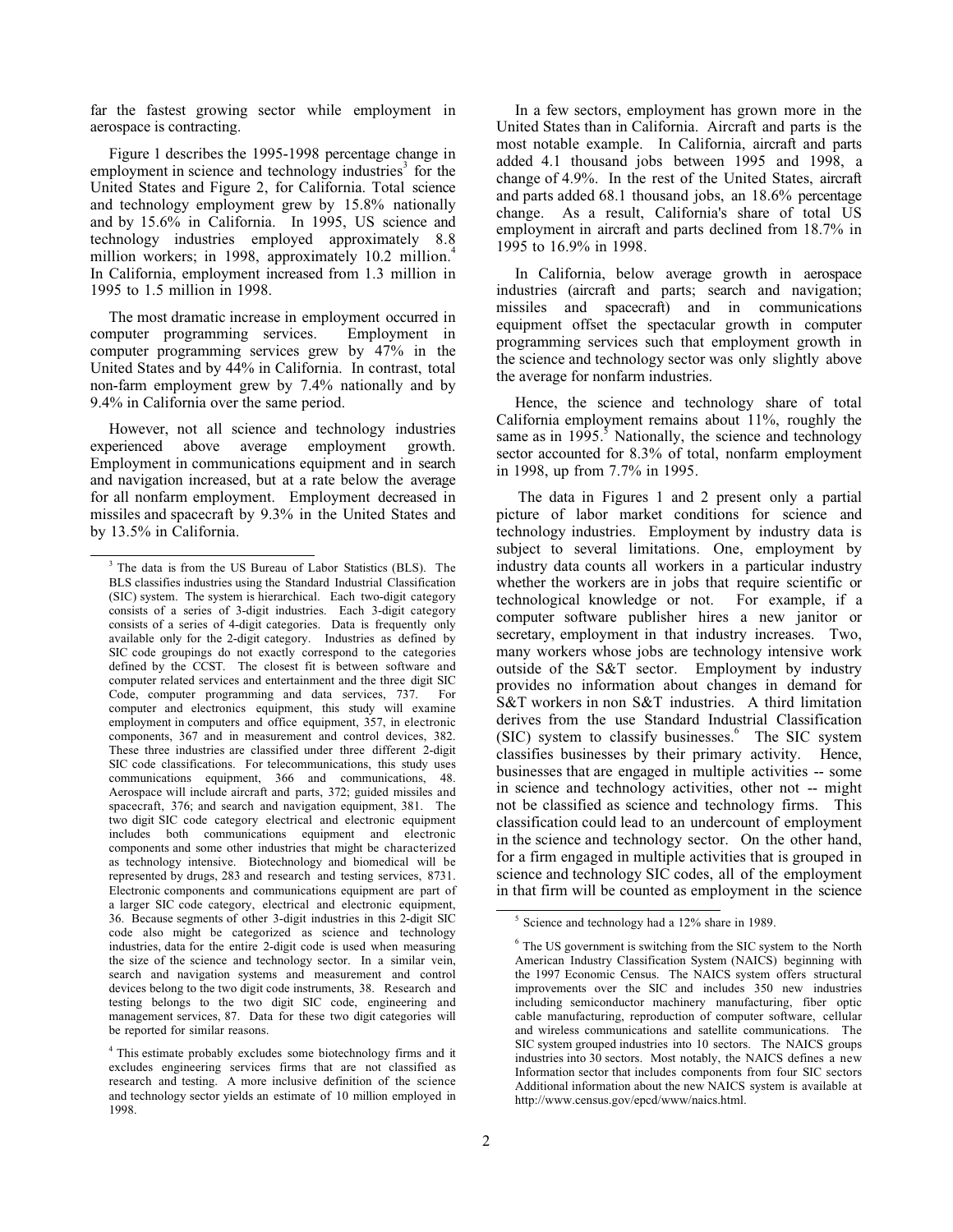far the fastest growing sector while employment in aerospace is contracting.

Figure 1 describes the 1995-1998 percentage change in employment in science and technology industries<sup>3</sup> for the United States and Figure 2, for California. Total science and technology employment grew by 15.8% nationally and by 15.6% in California. In 1995, US science and technology industries employed approximately 8.8 million workers; in 1998, approximately 10.2 million.<sup>4</sup> In California, employment increased from 1.3 million in 1995 to 1.5 million in 1998.

The most dramatic increase in employment occurred in computer programming services. Employment in computer programming services grew by 47% in the United States and by 44% in California. In contrast, total non-farm employment grew by 7.4% nationally and by 9.4% in California over the same period.

However, not all science and technology industries experienced above average employment growth. Employment in communications equipment and in search and navigation increased, but at a rate below the average for all nonfarm employment. Employment decreased in missiles and spacecraft by 9.3% in the United States and by 13.5% in California.

In a few sectors, employment has grown more in the United States than in California. Aircraft and parts is the most notable example. In California, aircraft and parts added 4.1 thousand jobs between 1995 and 1998, a change of 4.9%. In the rest of the United States, aircraft and parts added 68.1 thousand jobs, an 18.6% percentage change. As a result, California's share of total US employment in aircraft and parts declined from 18.7% in 1995 to 16.9% in 1998.

In California, below average growth in aerospace industries (aircraft and parts; search and navigation; missiles and spacecraft) and in communications equipment offset the spectacular growth in computer programming services such that employment growth in the science and technology sector was only slightly above the average for nonfarm industries.

Hence, the science and technology share of total California employment remains about 11%, roughly the same as in  $1995$ .<sup>5</sup> Nationally, the science and technology sector accounted for 8.3% of total, nonfarm employment in 1998, up from 7.7% in 1995.

The data in Figures 1 and 2 present only a partial picture of labor market conditions for science and technology industries. Employment by industry data is subject to several limitations. One, employment by industry data counts all workers in a particular industry whether the workers are in jobs that require scientific or technological knowledge or not. For example, if a technological knowledge or not. computer software publisher hires a new janitor or secretary, employment in that industry increases. Two, many workers whose jobs are technology intensive work outside of the S&T sector. Employment by industry provides no information about changes in demand for S&T workers in non S&T industries. A third limitation derives from the use Standard Industrial Classification (SIC) system to classify businesses.<sup>6</sup> The SIC system classifies businesses by their primary activity. Hence, businesses that are engaged in multiple activities -- some in science and technology activities, other not -- might not be classified as science and technology firms. This classification could lead to an undercount of employment in the science and technology sector. On the other hand, for a firm engaged in multiple activities that is grouped in science and technology SIC codes, all of the employment in that firm will be counted as employment in the science

 $\frac{1}{3}$  $3$  The data is from the US Bureau of Labor Statistics (BLS). The BLS classifies industries using the Standard Industrial Classification (SIC) system. The system is hierarchical. Each two-digit category consists of a series of 3-digit industries. Each 3-digit category consists of a series of 4-digit categories. Data is frequently only available only for the 2-digit category. Industries as defined by SIC code groupings do not exactly correspond to the categories defined by the CCST. The closest fit is between software and computer related services and entertainment and the three digit SIC Code, computer programming and data services, 737. For computer and electronics equipment, this study will examine employment in computers and office equipment, 357, in electronic components, 367 and in measurement and control devices, 382. These three industries are classified under three different 2-digit SIC code classifications. For telecommunications, this study uses communications equipment, 366 and communications, 48. Aerospace will include aircraft and parts, 372; guided missiles and spacecraft, 376; and search and navigation equipment, 381. The two digit SIC code category electrical and electronic equipment includes both communications equipment and electronic components and some other industries that might be characterized as technology intensive. Biotechnology and biomedical will be represented by drugs, 283 and research and testing services, 8731. Electronic components and communications equipment are part of a larger SIC code category, electrical and electronic equipment, 36. Because segments of other 3-digit industries in this 2-digit SIC code also might be categorized as science and technology industries, data for the entire 2-digit code is used when measuring the size of the science and technology sector. In a similar vein, search and navigation systems and measurement and control devices belong to the two digit code instruments, 38. Research and testing belongs to the two digit SIC code, engineering and management services, 87. Data for these two digit categories will be reported for similar reasons.

<sup>&</sup>lt;sup>4</sup> This estimate probably excludes some biotechnology firms and it excludes engineering services firms that are not classified as research and testing. A more inclusive definition of the science and technology sector yields an estimate of 10 million employed in 1998.

 $\frac{1}{5}$  $<sup>5</sup>$  Science and technology had a 12% share in 1989.</sup>

<sup>6</sup> The US government is switching from the SIC system to the North American Industry Classification System (NAICS) beginning with the 1997 Economic Census. The NAICS system offers structural improvements over the SIC and includes 350 new industries including semiconductor machinery manufacturing, fiber optic cable manufacturing, reproduction of computer software, cellular and wireless communications and satellite communications. The SIC system grouped industries into 10 sectors. The NAICS groups industries into 30 sectors. Most notably, the NAICS defines a new Information sector that includes components from four SIC sectors Additional information about the new NAICS system is available at http://www.census.gov/epcd/www/naics.html.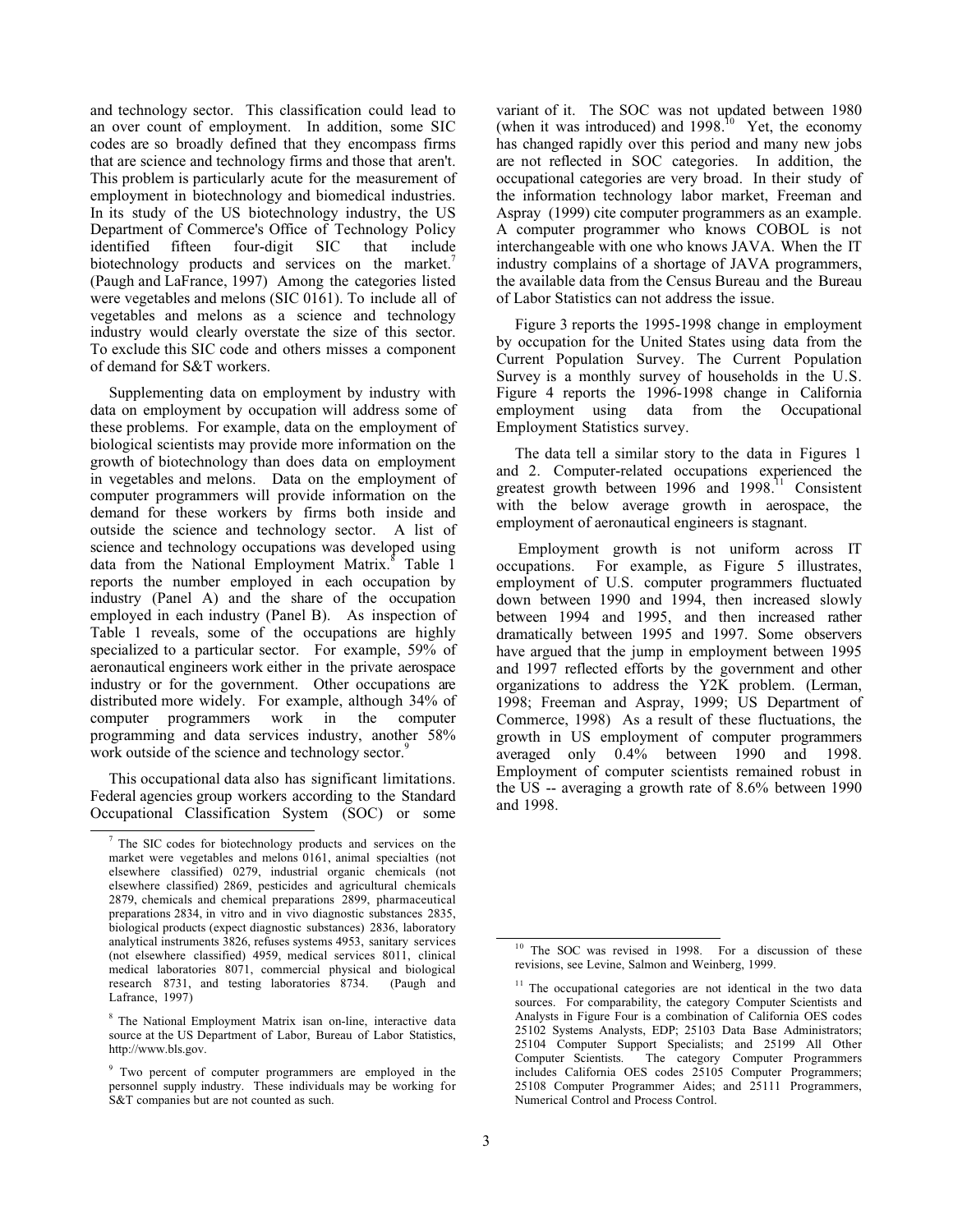and technology sector. This classification could lead to an over count of employment. In addition, some SIC codes are so broadly defined that they encompass firms that are science and technology firms and those that aren't. This problem is particularly acute for the measurement of employment in biotechnology and biomedical industries. In its study of the US biotechnology industry, the US Department of Commerce's Office of Technology Policy<br>identified fifteen four-digit SIC that include identified fifteen four-digit SIC that include biotechnology products and services on the market.<sup>7</sup> (Paugh and LaFrance, 1997) Among the categories listed were vegetables and melons (SIC 0161). To include all of vegetables and melons as a science and technology industry would clearly overstate the size of this sector. To exclude this SIC code and others misses a component of demand for S&T workers.

Supplementing data on employment by industry with data on employment by occupation will address some of these problems. For example, data on the employment of biological scientists may provide more information on the growth of biotechnology than does data on employment in vegetables and melons. Data on the employment of computer programmers will provide information on the demand for these workers by firms both inside and outside the science and technology sector. A list of science and technology occupations was developed using data from the National Employment Matrix.<sup>8</sup> Table 1 reports the number employed in each occupation by industry (Panel A) and the share of the occupation employed in each industry (Panel B). As inspection of Table 1 reveals, some of the occupations are highly specialized to a particular sector. For example, 59% of aeronautical engineers work either in the private aerospace industry or for the government. Other occupations are distributed more widely. For example, although 34% of computer programmers work in the computer programming and data services industry, another 58% work outside of the science and technology sector.<sup>9</sup>

This occupational data also has significant limitations. Federal agencies group workers according to the Standard Occupational Classification System (SOC) or some variant of it. The SOC was not updated between 1980 (when it was introduced) and  $1998<sup>10</sup>$  Yet, the economy has changed rapidly over this period and many new jobs are not reflected in SOC categories. In addition, the occupational categories are very broad. In their study of the information technology labor market, Freeman and Aspray (1999) cite computer programmers as an example. A computer programmer who knows COBOL is not interchangeable with one who knows JAVA. When the IT industry complains of a shortage of JAVA programmers, the available data from the Census Bureau and the Bureau of Labor Statistics can not address the issue.

Figure 3 reports the 1995-1998 change in employment by occupation for the United States using data from the Current Population Survey. The Current Population Survey is a monthly survey of households in the U.S. Figure 4 reports the 1996-1998 change in California employment using data from the Occupational Employment Statistics survey.

The data tell a similar story to the data in Figures 1 and 2. Computer-related occupations experienced the greatest growth between 1996 and 1998.<sup>11</sup> Consistent with the below average growth in aerospace, the employment of aeronautical engineers is stagnant.

Employment growth is not uniform across IT occupations. For example, as Figure 5 illustrates, employment of U.S. computer programmers fluctuated down between 1990 and 1994, then increased slowly between 1994 and 1995, and then increased rather dramatically between 1995 and 1997. Some observers have argued that the jump in employment between 1995 and 1997 reflected efforts by the government and other organizations to address the Y2K problem. (Lerman, 1998; Freeman and Aspray, 1999; US Department of Commerce, 1998) As a result of these fluctuations, the growth in US employment of computer programmers averaged only 0.4% between 1990 and 1998. Employment of computer scientists remained robust in the US -- averaging a growth rate of 8.6% between 1990 and 1998.

 $\frac{1}{7}$  The SIC codes for biotechnology products and services on the market were vegetables and melons 0161, animal specialties (not elsewhere classified) 0279, industrial organic chemicals (not elsewhere classified) 2869, pesticides and agricultural chemicals 2879, chemicals and chemical preparations 2899, pharmaceutical preparations 2834, in vitro and in vivo diagnostic substances 2835, biological products (expect diagnostic substances) 2836, laboratory analytical instruments 3826, refuses systems 4953, sanitary services (not elsewhere classified) 4959, medical services 8011, clinical medical laboratories 8071, commercial physical and biological research 8731, and testing laboratories 8734. (Paugh and Lafrance, 1997)

<sup>8</sup> The National Employment Matrix isan on-line, interactive data source at the US Department of Labor, Bureau of Labor Statistics, http://www.bls.gov.

<sup>&</sup>lt;sup>9</sup> Two percent of computer programmers are employed in the personnel supply industry. These individuals may be working for S&T companies but are not counted as such.

<sup>&</sup>lt;sup>10</sup> The SOC was revised in 1998. For a discussion of these revisions, see Levine, Salmon and Weinberg, 1999.

<sup>&</sup>lt;sup>11</sup> The occupational categories are not identical in the two data sources. For comparability, the category Computer Scientists and Analysts in Figure Four is a combination of California OES codes 25102 Systems Analysts, EDP; 25103 Data Base Administrators; 25104 Computer Support Specialists; and 25199 All Other Computer Scientists. The category Computer Programmers includes California OES codes 25105 Computer Programmers; 25108 Computer Programmer Aides; and 25111 Programmers, Numerical Control and Process Control.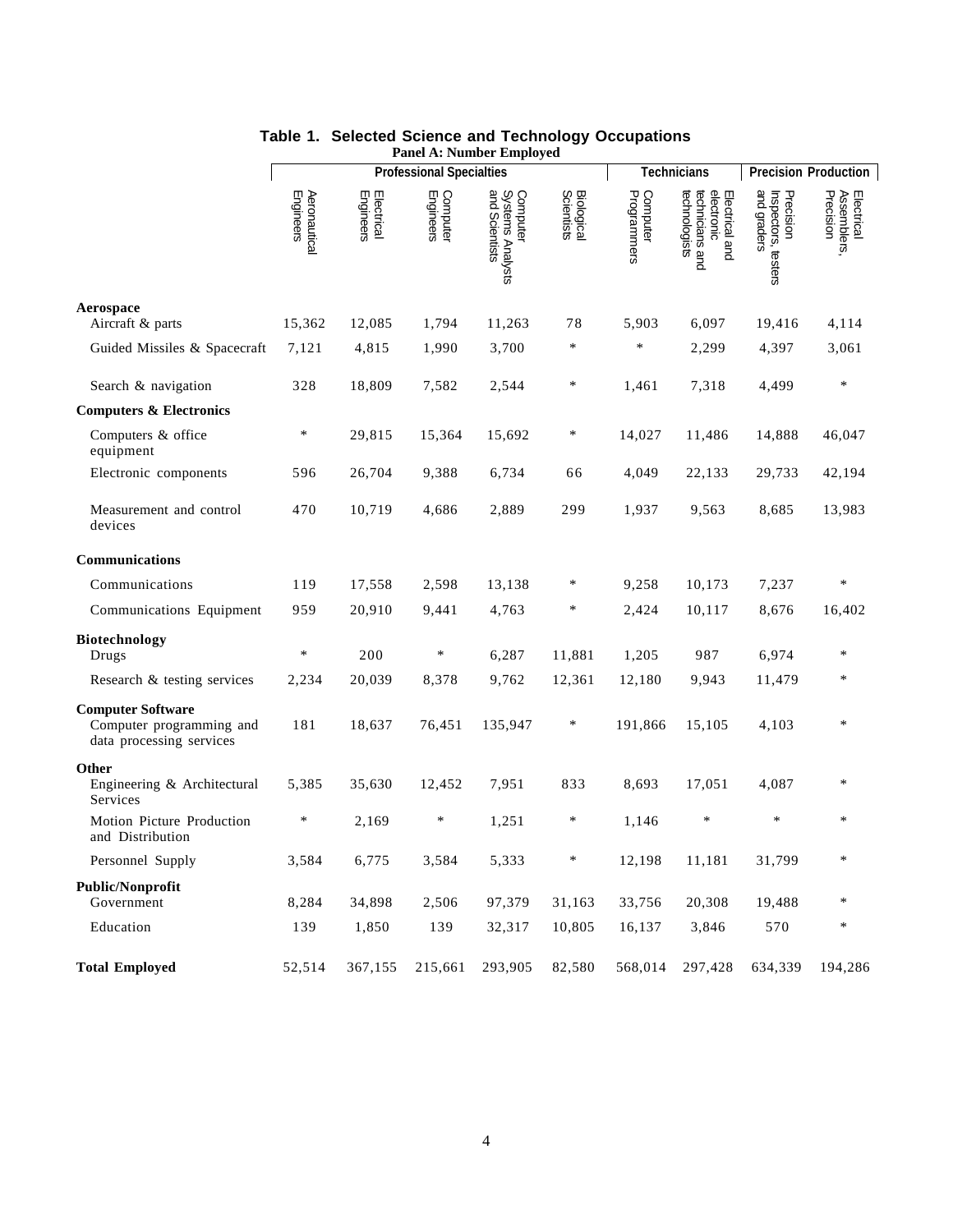|                                                                                  |                           |                         | <b>Professional Specialties</b> |                                                |                                 | <b>Technicians</b>      | <b>Precision Production</b>                                      |                                                 |                                        |
|----------------------------------------------------------------------------------|---------------------------|-------------------------|---------------------------------|------------------------------------------------|---------------------------------|-------------------------|------------------------------------------------------------------|-------------------------------------------------|----------------------------------------|
|                                                                                  | Aeronautical<br>Engineers | Electrical<br>Engineers | Computer<br>Engineers           | Computer<br>Systems Analysts<br>and Scientists | <b>Biological</b><br>Scientists | Computer<br>Programmers | technologists<br>technicians and<br>electronic<br>Electrical and | and graders<br>Precision<br>Inspectors, testers | Electrical<br>Assemblers,<br>Precision |
| Aerospace<br>Aircraft & parts                                                    | 15,362                    | 12,085                  | 1,794                           | 11,263                                         | 78                              | 5,903                   | 6,097                                                            | 19,416                                          | 4,114                                  |
| Guided Missiles & Spacecraft                                                     | 7,121                     | 4,815                   | 1,990                           | 3,700                                          | $\ast$                          | $\ast$                  | 2,299                                                            | 4,397                                           | 3,061                                  |
| Search & navigation                                                              | 328                       | 18,809                  | 7,582                           | 2,544                                          | ∗                               | 1,461                   | 7,318                                                            | 4,499                                           | ∗                                      |
| <b>Computers &amp; Electronics</b>                                               |                           |                         |                                 |                                                |                                 |                         |                                                                  |                                                 |                                        |
| Computers & office<br>equipment                                                  | $\ast$                    | 29,815                  | 15,364                          | 15,692                                         | $\ast$                          | 14,027                  | 11,486                                                           | 14,888                                          | 46,047                                 |
| Electronic components                                                            | 596                       | 26,704                  | 9,388                           | 6,734                                          | 66                              | 4,049                   | 22,133                                                           | 29,733                                          | 42,194                                 |
| Measurement and control<br>devices                                               | 470                       | 10,719                  | 4,686                           | 2,889                                          | 299                             | 1,937                   | 9,563                                                            | 8,685                                           | 13,983                                 |
| Communications                                                                   |                           |                         |                                 |                                                |                                 |                         |                                                                  |                                                 |                                        |
| Communications                                                                   | 119                       | 17,558                  | 2,598                           | 13,138                                         | ∗                               | 9,258                   | 10,173                                                           | 7,237                                           | $\ast$                                 |
| Communications Equipment                                                         | 959                       | 20,910                  | 9,441                           | 4,763                                          | ∗                               | 2,424                   | 10,117                                                           | 8,676                                           | 16,402                                 |
| Biotechnology<br>Drugs                                                           | $\ast$                    | 200                     | $\ast$                          | 6,287                                          | 11,881                          | 1,205                   | 987                                                              | 6,974                                           | ∗                                      |
| Research & testing services                                                      | 2,234                     | 20,039                  | 8,378                           | 9,762                                          | 12,361                          | 12,180                  | 9,943                                                            | 11,479                                          | $\ast$                                 |
| <b>Computer Software</b><br>Computer programming and<br>data processing services | 181                       | 18,637                  | 76,451                          | 135,947                                        | ∗                               | 191,866                 | 15,105                                                           | 4,103                                           | *                                      |
| Other<br>Engineering & Architectural<br>Services                                 | 5,385                     | 35,630                  | 12,452                          | 7,951                                          | 833                             | 8,693                   | 17,051                                                           | 4,087                                           | $\ast$                                 |
| Motion Picture Production<br>and Distribution                                    | $\ast$                    | 2,169                   | $\ast$                          | 1,251                                          | $\ast$                          | 1,146                   | $\ast$                                                           | $\ast$                                          | ∗                                      |
| Personnel Supply                                                                 | 3,584                     | 6,775                   | 3,584                           | 5,333                                          |                                 | 12,198                  | 11,181                                                           | 31,799                                          |                                        |
| Public/Nonprofit<br>Government                                                   | 8,284                     | 34,898                  | 2,506                           | 97,379                                         | 31,163                          | 33,756                  | 20,308                                                           | 19,488                                          | $\ast$                                 |
| Education                                                                        | 139                       | 1,850                   | 139                             | 32,317                                         | 10,805                          | 16,137                  | 3,846                                                            | 570                                             | $\ast$                                 |
| <b>Total Employed</b>                                                            | 52,514                    | 367,155                 | 215,661                         | 293,905                                        | 82,580                          | 568,014                 | 297,428                                                          | 634,339                                         | 194,286                                |

#### **Table 1. Selected Science and Technology Occupations Panel A: Number Employed**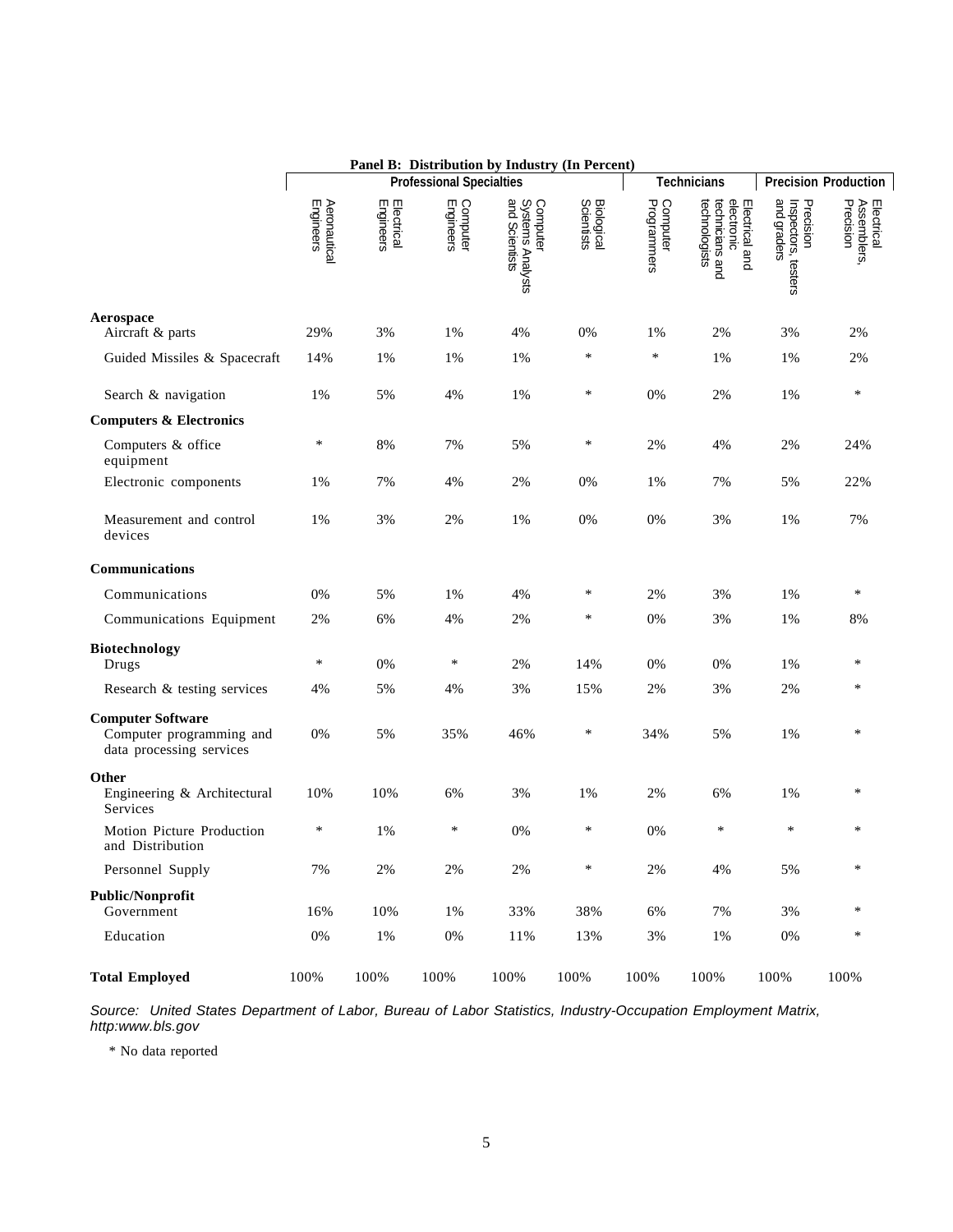|                                                                                  | Panel B: Distribution by Industry (In Percent) |                         |                                 |                                                |                                 |                         |                                                                  |                                                 |                                        |
|----------------------------------------------------------------------------------|------------------------------------------------|-------------------------|---------------------------------|------------------------------------------------|---------------------------------|-------------------------|------------------------------------------------------------------|-------------------------------------------------|----------------------------------------|
|                                                                                  |                                                |                         | <b>Professional Specialties</b> |                                                |                                 | <b>Technicians</b>      | <b>Precision Production</b>                                      |                                                 |                                        |
|                                                                                  | Aeronautical<br>Engineers                      | Electrical<br>Engineers | Computer<br>Engineers           | Computer<br>Systems Analysts<br>and Scientists | <b>Biological</b><br>Scientists | Computer<br>Programmers | technicians and<br>electronic<br>technologists<br>Electrical and | and graders<br>Precision<br>Inspectors, testers | Electrical<br>Assemblers,<br>Precision |
| Aerospace<br>Aircraft & parts                                                    | 29%                                            | 3%                      | 1%                              | 4%                                             | 0%                              | 1%                      | 2%                                                               | 3%                                              | 2%                                     |
| Guided Missiles & Spacecraft                                                     | 14%                                            | 1%                      | 1%                              | 1%                                             | *                               | $\ast$                  | 1%                                                               | 1%                                              | 2%                                     |
| Search & navigation                                                              | 1%                                             | 5%                      | 4%                              | 1%                                             | ∗                               | 0%                      | 2%                                                               | 1%                                              | ∗                                      |
| <b>Computers &amp; Electronics</b>                                               |                                                |                         |                                 |                                                |                                 |                         |                                                                  |                                                 |                                        |
| Computers & office<br>equipment                                                  | $\ast$                                         | 8%                      | 7%                              | 5%                                             | $\ast$                          | 2%                      | 4%                                                               | 2%                                              | 24%                                    |
| Electronic components                                                            | 1%                                             | 7%                      | 4%                              | 2%                                             | 0%                              | 1%                      | 7%                                                               | 5%                                              | 22%                                    |
| Measurement and control<br>devices                                               | 1%                                             | 3%                      | 2%                              | 1%                                             | 0%                              | 0%                      | 3%                                                               | 1%                                              | 7%                                     |
| <b>Communications</b>                                                            |                                                |                         |                                 |                                                |                                 |                         |                                                                  |                                                 |                                        |
| Communications                                                                   | 0%                                             | 5%                      | 1%                              | 4%                                             | ∗                               | 2%                      | 3%                                                               | 1%                                              | ∗                                      |
| Communications Equipment                                                         | 2%                                             | 6%                      | 4%                              | 2%                                             | ∗                               | 0%                      | 3%                                                               | 1%                                              | 8%                                     |
| <b>Biotechnology</b><br>Drugs                                                    | $\ast$                                         | 0%                      | $\ast$                          | 2%                                             | 14%                             | 0%                      | 0%                                                               | 1%                                              | *                                      |
| Research & testing services                                                      | 4%                                             | 5%                      | 4%                              | 3%                                             | 15%                             | 2%                      | 3%                                                               | 2%                                              | ∗                                      |
| <b>Computer Software</b><br>Computer programming and<br>data processing services | 0%                                             | 5%                      | 35%                             | 46%                                            | ∗                               | 34%                     | 5%                                                               | 1%                                              | *                                      |
| Other<br>Engineering & Architectural<br>Services                                 | 10%                                            | 10%                     | 6%                              | 3%                                             | 1%                              | 2%                      | 6%                                                               | 1%                                              | *                                      |
| Motion Picture Production<br>and Distribution                                    | ∗                                              | 1%                      | ∗                               | 0%                                             | $\ast$                          | 0%                      | *                                                                | $\ast$                                          | $\ast$                                 |
| Personnel Supply                                                                 | $7\%$                                          | $2\%$                   | 2%                              | $2\%$                                          | $\ast$                          | $2\%$                   | 4%                                                               | 5%                                              | $\ast$                                 |
| <b>Public/Nonprofit</b><br>Government                                            | 16%                                            | 10%                     | 1%                              | 33%                                            | 38%                             | $6\%$                   | 7%                                                               | 3%                                              | $\ast$                                 |
| Education                                                                        | $0\%$                                          | $1\%$                   | 0%                              | 11%                                            | 13%                             | 3%                      | $1\%$                                                            | $0\%$                                           | $\ast$                                 |
| <b>Total Employed</b>                                                            | 100%                                           | 100%                    | 100%                            | 100%                                           | 100%                            | 100%                    | 100%                                                             | 100%                                            | 100%                                   |

*Source: United States Department of Labor, Bureau of Labor Statistics, Industry-Occupation Employment Matrix, http:www.bls.gov*

\* No data reported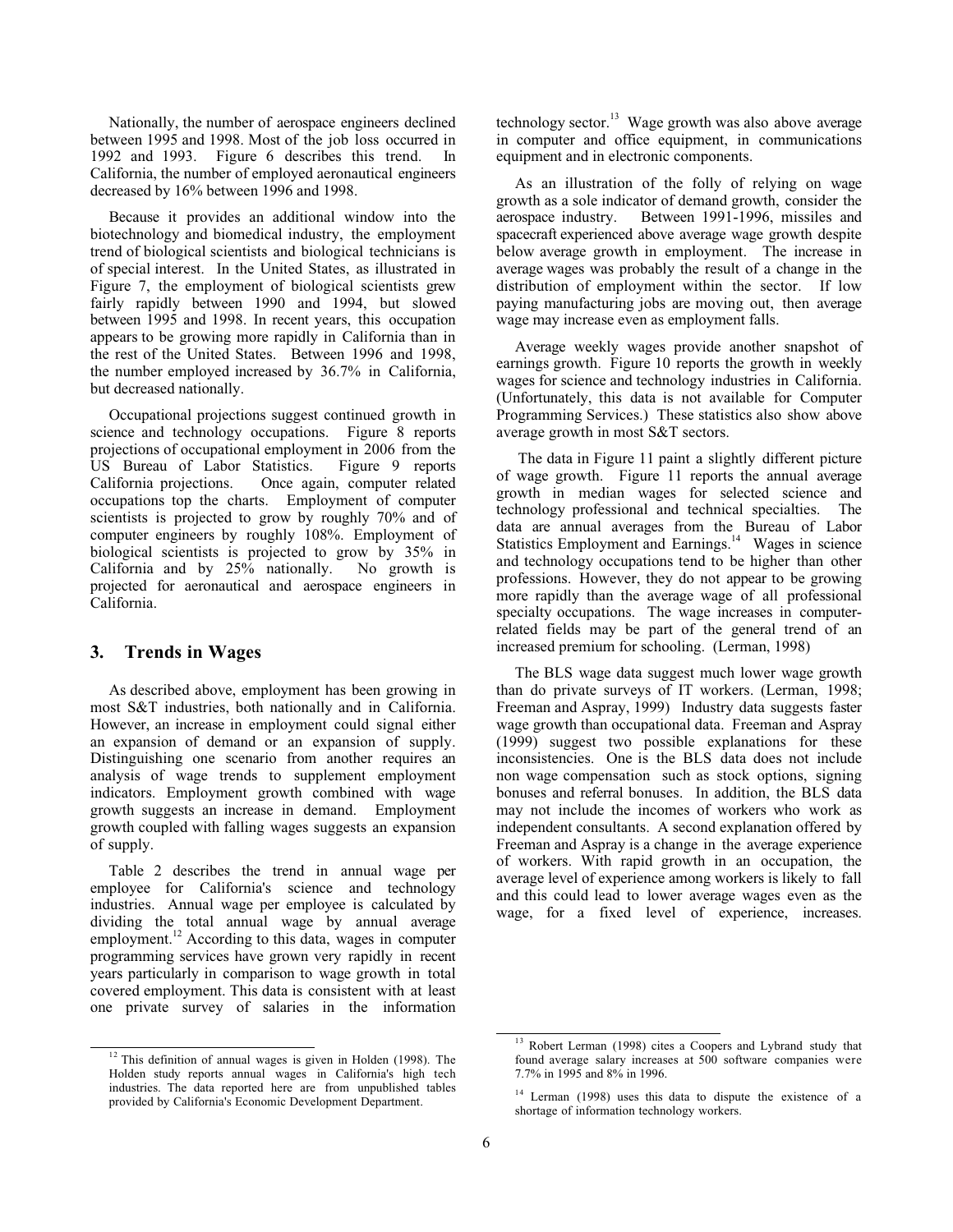Nationally, the number of aerospace engineers declined between 1995 and 1998. Most of the job loss occurred in 1992 and 1993. Figure 6 describes this trend. In California, the number of employed aeronautical engineers decreased by 16% between 1996 and 1998.

Because it provides an additional window into the biotechnology and biomedical industry, the employment trend of biological scientists and biological technicians is of special interest. In the United States, as illustrated in Figure 7, the employment of biological scientists grew fairly rapidly between 1990 and 1994, but slowed between 1995 and 1998. In recent years, this occupation appears to be growing more rapidly in California than in the rest of the United States. Between 1996 and 1998, the number employed increased by 36.7% in California, but decreased nationally.

Occupational projections suggest continued growth in science and technology occupations. Figure 8 reports projections of occupational employment in 2006 from the US Bureau of Labor Statistics. Figure 9 reports California projections. Once again, computer related occupations top the charts. Employment of computer scientists is projected to grow by roughly 70% and of computer engineers by roughly 108%. Employment of biological scientists is projected to grow by 35% in California and by 25% nationally. No growth is projected for aeronautical and aerospace engineers in California.

#### **3. Trends in Wages**

As described above, employment has been growing in most S&T industries, both nationally and in California. However, an increase in employment could signal either an expansion of demand or an expansion of supply. Distinguishing one scenario from another requires an analysis of wage trends to supplement employment indicators. Employment growth combined with wage growth suggests an increase in demand. Employment growth coupled with falling wages suggests an expansion of supply.

Table 2 describes the trend in annual wage per employee for California's science and technology industries. Annual wage per employee is calculated by dividing the total annual wage by annual average employment.<sup>12</sup> According to this data, wages in computer programming services have grown very rapidly in recent years particularly in comparison to wage growth in total covered employment. This data is consistent with at least one private survey of salaries in the information technology sector.<sup>13</sup> Wage growth was also above average in computer and office equipment, in communications equipment and in electronic components.

As an illustration of the folly of relying on wage growth as a sole indicator of demand growth, consider the aerospace industry. Between 1991-1996, missiles and spacecraft experienced above average wage growth despite below average growth in employment. The increase in average wages was probably the result of a change in the distribution of employment within the sector. If low paying manufacturing jobs are moving out, then average wage may increase even as employment falls.

Average weekly wages provide another snapshot of earnings growth. Figure 10 reports the growth in weekly wages for science and technology industries in California. (Unfortunately, this data is not available for Computer Programming Services.) These statistics also show above average growth in most S&T sectors.

The data in Figure 11 paint a slightly different picture of wage growth. Figure 11 reports the annual average growth in median wages for selected science and technology professional and technical specialties. The data are annual averages from the Bureau of Labor Statistics Employment and Earnings.<sup>14</sup> Wages in science and technology occupations tend to be higher than other professions. However, they do not appear to be growing more rapidly than the average wage of all professional specialty occupations. The wage increases in computerrelated fields may be part of the general trend of an increased premium for schooling. (Lerman, 1998)

The BLS wage data suggest much lower wage growth than do private surveys of IT workers. (Lerman, 1998; Freeman and Aspray, 1999) Industry data suggests faster wage growth than occupational data. Freeman and Aspray (1999) suggest two possible explanations for these inconsistencies. One is the BLS data does not include non wage compensation such as stock options, signing bonuses and referral bonuses. In addition, the BLS data may not include the incomes of workers who work as independent consultants. A second explanation offered by Freeman and Aspray is a change in the average experience of workers. With rapid growth in an occupation, the average level of experience among workers is likely to fall and this could lead to lower average wages even as the wage, for a fixed level of experience, increases.

 $12$  This definition of annual wages is given in Holden (1998). The Holden study reports annual wages in California's high tech industries. The data reported here are from unpublished tables provided by California's Economic Development Department.

<sup>&</sup>lt;sup>13</sup> Robert Lerman (1998) cites a Coopers and Lybrand study that found average salary increases at 500 software companies were 7.7% in 1995 and 8% in 1996.

<sup>&</sup>lt;sup>14</sup> Lerman (1998) uses this data to dispute the existence of a shortage of information technology workers.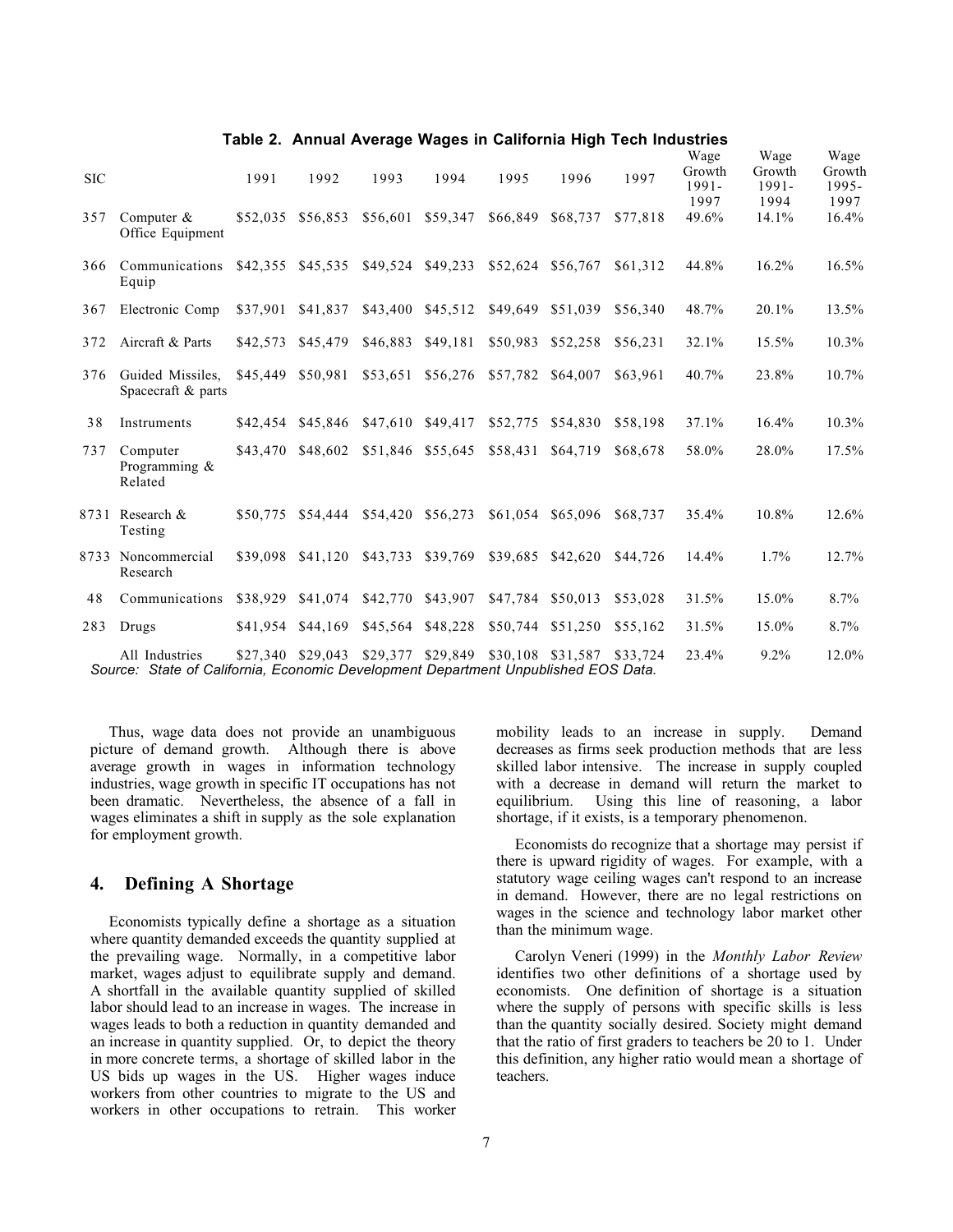| <b>SIC</b> |                                                                                                      | 1991     | 1992              | 1993     | 1994              | 1995     | 1996              | 1997     | Wage<br>Growth<br>1991-<br>1997 | Wage<br>Growth<br>1991-<br>1994 | Wage<br>Growth<br>1995-<br>1997 |
|------------|------------------------------------------------------------------------------------------------------|----------|-------------------|----------|-------------------|----------|-------------------|----------|---------------------------------|---------------------------------|---------------------------------|
| 357        | Computer $&$<br>Office Equipment                                                                     | \$52,035 | \$56,853          | \$56,601 | \$59,347          | \$66,849 | \$68,737          | \$77,818 | 49.6%                           | 14.1%                           | 16.4%                           |
| 366        | Communications<br>Equip                                                                              | \$42,355 | \$45,535          | \$49,524 | \$49,233          | \$52,624 | \$56,767          | \$61,312 | 44.8%                           | 16.2%                           | 16.5%                           |
| 367        | Electronic Comp                                                                                      | \$37,901 | \$41,837          | \$43,400 | \$45,512          | \$49,649 | \$51,039          | \$56,340 | 48.7%                           | 20.1%                           | 13.5%                           |
| 372        | Aircraft & Parts                                                                                     | \$42,573 | \$45,479          | \$46,883 | \$49,181          | \$50,983 | \$52,258          | \$56,231 | 32.1%                           | 15.5%                           | 10.3%                           |
| 376        | Guided Missiles.<br>Spacecraft & parts                                                               | \$45,449 | \$50.981          | \$53,651 | \$56,276          | \$57,782 | \$64,007          | \$63.961 | 40.7%                           | 23.8%                           | 10.7%                           |
| 38         | Instruments                                                                                          | \$42,454 | \$45,846          | \$47,610 | \$49,417          | \$52,775 | \$54,830          | \$58,198 | 37.1%                           | 16.4%                           | 10.3%                           |
| 737        | Computer<br>Programming &<br>Related                                                                 | \$43,470 | \$48,602          | \$51.846 | \$55,645          | \$58,431 | \$64,719          | \$68,678 | 58.0%                           | 28.0%                           | 17.5%                           |
|            | 8731 Research &<br>Testing                                                                           | \$50,775 | \$54,444          | \$54,420 | \$56,273          | \$61,054 | \$65,096          | \$68,737 | 35.4%                           | 10.8%                           | 12.6%                           |
|            | 8733 Noncommercial<br>Research                                                                       | \$39,098 | \$41,120          | \$43,733 | \$39,769          | \$39,685 | \$42,620          | \$44,726 | 14.4%                           | 1.7%                            | 12.7%                           |
| 48         | Communications                                                                                       | \$38,929 | \$41,074          | \$42,770 | \$43,907          | \$47,784 | \$50,013          | \$53,028 | 31.5%                           | 15.0%                           | 8.7%                            |
| 283        | Drugs                                                                                                | \$41,954 | \$44,169          | \$45,564 | \$48,228          | \$50,744 | \$51,250          | \$55,162 | 31.5%                           | 15.0%                           | 8.7%                            |
|            | All Industries<br>Source: State of California. Economic Development Department Unpublished EOS Data. |          | \$27,340 \$29,043 |          | \$29,377 \$29,849 |          | \$30,108 \$31,587 | \$33,724 | 23.4%                           | 9.2%                            | 12.0%                           |

**Table 2. Annual Average Wages in California High Tech Industries**

*Source: State of California, Economic Development Department Unpublished EOS Data.*

Thus, wage data does not provide an unambiguous picture of demand growth. Although there is above average growth in wages in information technology industries, wage growth in specific IT occupations has not been dramatic. Nevertheless, the absence of a fall in wages eliminates a shift in supply as the sole explanation for employment growth.

#### **4. Defining A Shortage**

Economists typically define a shortage as a situation where quantity demanded exceeds the quantity supplied at the prevailing wage. Normally, in a competitive labor market, wages adjust to equilibrate supply and demand. A shortfall in the available quantity supplied of skilled labor should lead to an increase in wages. The increase in wages leads to both a reduction in quantity demanded and an increase in quantity supplied. Or, to depict the theory in more concrete terms, a shortage of skilled labor in the US bids up wages in the US. Higher wages induce workers from other countries to migrate to the US and workers in other occupations to retrain. This worker mobility leads to an increase in supply. Demand decreases as firms seek production methods that are less skilled labor intensive. The increase in supply coupled with a decrease in demand will return the market to equilibrium. Using this line of reasoning, a labor shortage, if it exists, is a temporary phenomenon.

Economists do recognize that a shortage may persist if there is upward rigidity of wages. For example, with a statutory wage ceiling wages can't respond to an increase in demand. However, there are no legal restrictions on wages in the science and technology labor market other than the minimum wage.

Carolyn Veneri (1999) in the *Monthly Labor Review* identifies two other definitions of a shortage used by economists. One definition of shortage is a situation where the supply of persons with specific skills is less than the quantity socially desired. Society might demand that the ratio of first graders to teachers be 20 to 1. Under this definition, any higher ratio would mean a shortage of teachers.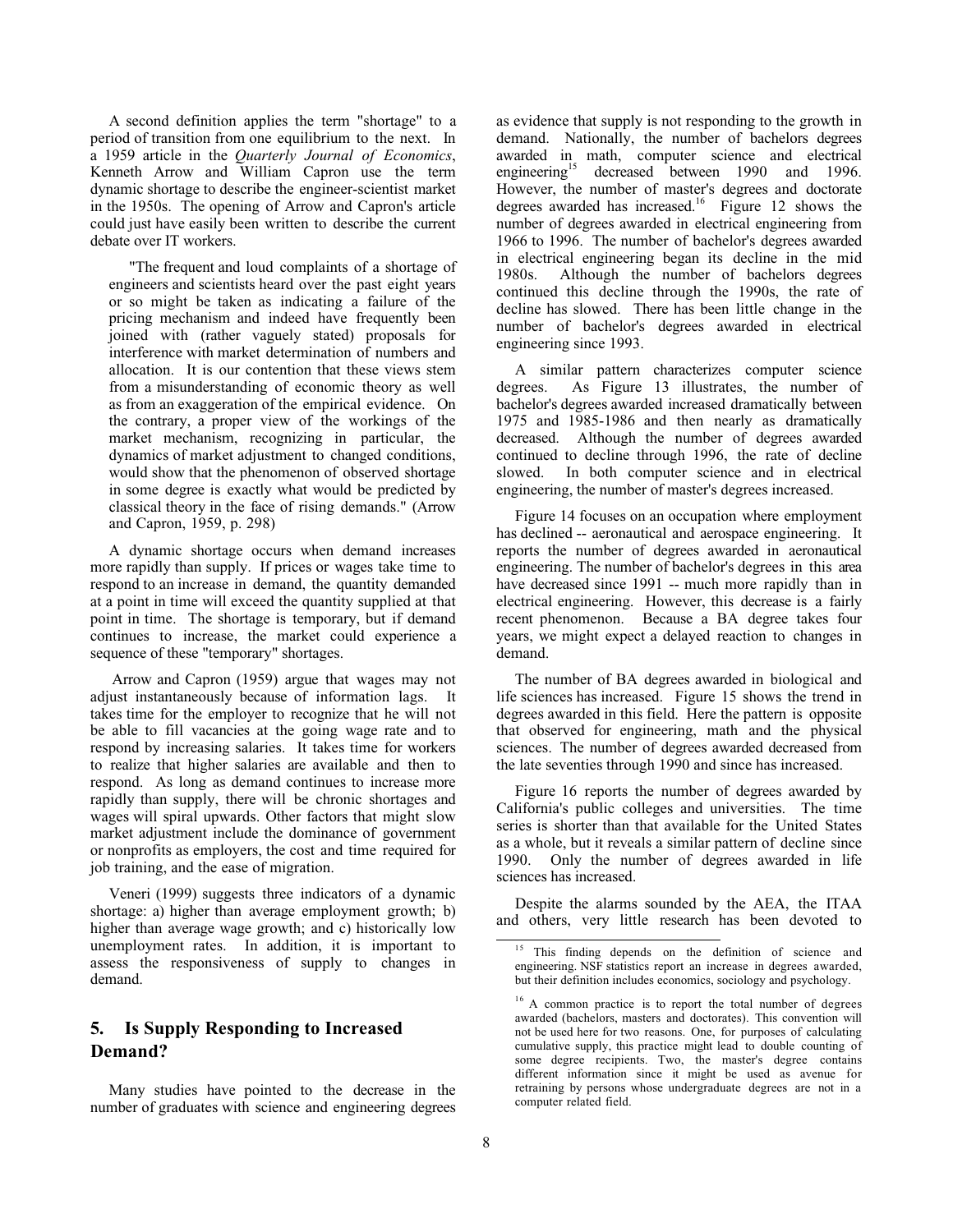A second definition applies the term "shortage" to a period of transition from one equilibrium to the next. In a 1959 article in the *Quarterly Journal of Economics*, Kenneth Arrow and William Capron use the term dynamic shortage to describe the engineer-scientist market in the 1950s. The opening of Arrow and Capron's article could just have easily been written to describe the current debate over IT workers.

"The frequent and loud complaints of a shortage of engineers and scientists heard over the past eight years or so might be taken as indicating a failure of the pricing mechanism and indeed have frequently been joined with (rather vaguely stated) proposals for interference with market determination of numbers and allocation. It is our contention that these views stem from a misunderstanding of economic theory as well as from an exaggeration of the empirical evidence. On the contrary, a proper view of the workings of the market mechanism, recognizing in particular, the dynamics of market adjustment to changed conditions, would show that the phenomenon of observed shortage in some degree is exactly what would be predicted by classical theory in the face of rising demands." (Arrow and Capron, 1959, p. 298)

A dynamic shortage occurs when demand increases more rapidly than supply. If prices or wages take time to respond to an increase in demand, the quantity demanded at a point in time will exceed the quantity supplied at that point in time. The shortage is temporary, but if demand continues to increase, the market could experience a sequence of these "temporary" shortages.

Arrow and Capron (1959) argue that wages may not adjust instantaneously because of information lags. It takes time for the employer to recognize that he will not be able to fill vacancies at the going wage rate and to respond by increasing salaries. It takes time for workers to realize that higher salaries are available and then to respond. As long as demand continues to increase more rapidly than supply, there will be chronic shortages and wages will spiral upwards. Other factors that might slow market adjustment include the dominance of government or nonprofits as employers, the cost and time required for job training, and the ease of migration.

Veneri (1999) suggests three indicators of a dynamic shortage: a) higher than average employment growth; b) higher than average wage growth; and c) historically low unemployment rates. In addition, it is important to assess the responsiveness of supply to changes in demand.

# **5. Is Supply Responding to Increased Demand?**

Many studies have pointed to the decrease in the number of graduates with science and engineering degrees

as evidence that supply is not responding to the growth in demand. Nationally, the number of bachelors degrees awarded in math, computer science and electrical engineering<sup>15</sup> decreased between 1990 and 1996. However, the number of master's degrees and doctorate degrees awarded has increased.<sup>16</sup> Figure 12 shows the number of degrees awarded in electrical engineering from 1966 to 1996. The number of bachelor's degrees awarded in electrical engineering began its decline in the mid 1980s. Although the number of bachelors degrees continued this decline through the 1990s, the rate of decline has slowed. There has been little change in the number of bachelor's degrees awarded in electrical engineering since 1993.

A similar pattern characterizes computer science degrees. As Figure 13 illustrates, the number of bachelor's degrees awarded increased dramatically between 1975 and 1985-1986 and then nearly as dramatically decreased. Although the number of degrees awarded continued to decline through 1996, the rate of decline slowed. In both computer science and in electrical engineering, the number of master's degrees increased.

Figure 14 focuses on an occupation where employment has declined -- aeronautical and aerospace engineering. It reports the number of degrees awarded in aeronautical engineering. The number of bachelor's degrees in this area have decreased since 1991 -- much more rapidly than in electrical engineering. However, this decrease is a fairly recent phenomenon. Because a BA degree takes four years, we might expect a delayed reaction to changes in demand.

The number of BA degrees awarded in biological and life sciences has increased. Figure 15 shows the trend in degrees awarded in this field. Here the pattern is opposite that observed for engineering, math and the physical sciences. The number of degrees awarded decreased from the late seventies through 1990 and since has increased.

Figure 16 reports the number of degrees awarded by California's public colleges and universities. The time series is shorter than that available for the United States as a whole, but it reveals a similar pattern of decline since 1990. Only the number of degrees awarded in life sciences has increased.

Despite the alarms sounded by the AEA, the ITAA and others, very little research has been devoted to

<sup>&</sup>lt;sup>15</sup> This finding depends on the definition of science and engineering. NSF statistics report an increase in degrees awarded, but their definition includes economics, sociology and psychology.

<sup>&</sup>lt;sup>16</sup> A common practice is to report the total number of degrees awarded (bachelors, masters and doctorates). This convention will not be used here for two reasons. One, for purposes of calculating cumulative supply, this practice might lead to double counting of some degree recipients. Two, the master's degree contains different information since it might be used as avenue for retraining by persons whose undergraduate degrees are not in a computer related field.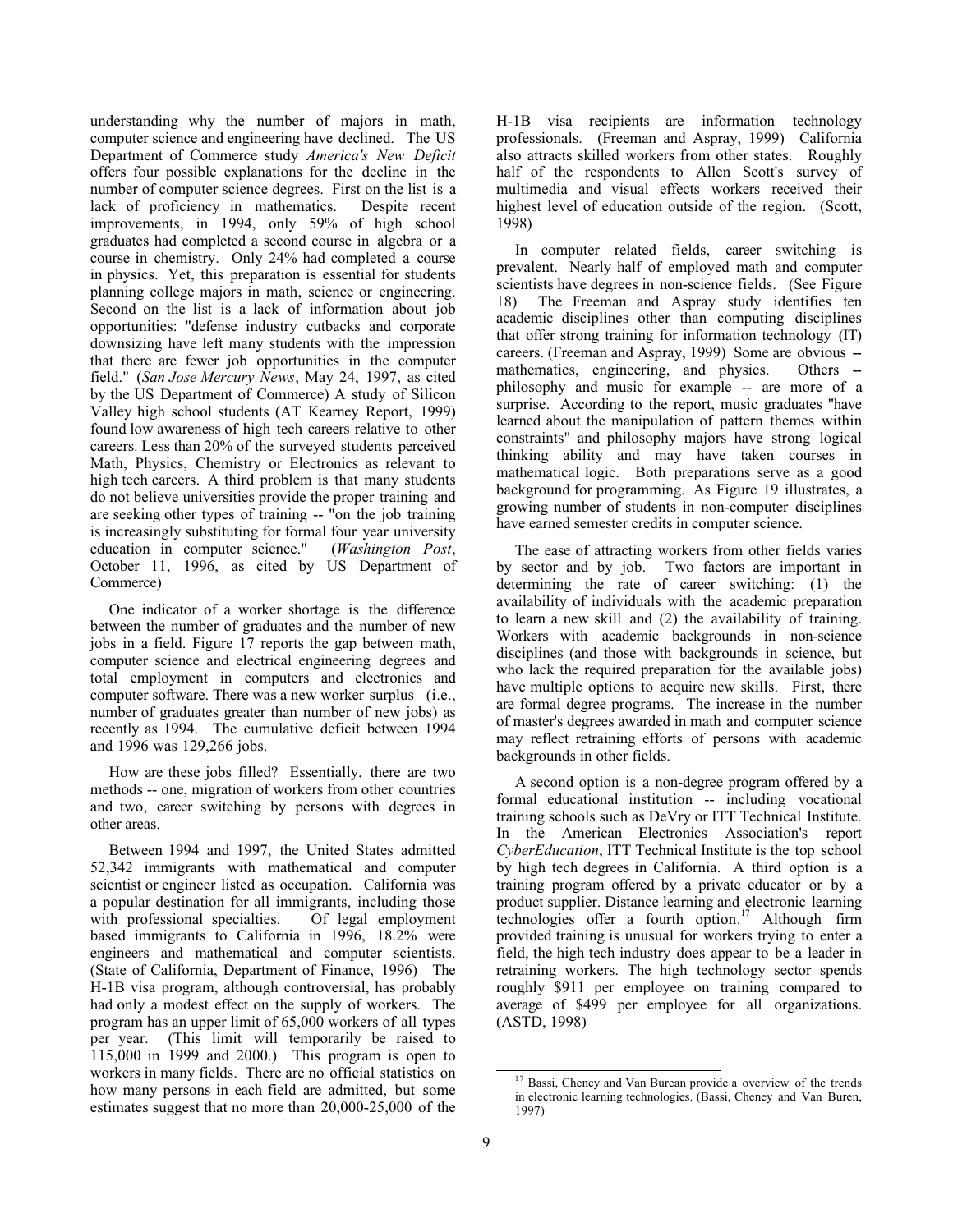understanding why the number of majors in math, computer science and engineering have declined. The US Department of Commerce study *America's New Deficit* offers four possible explanations for the decline in the number of computer science degrees. First on the list is a lack of proficiency in mathematics. Despite recent improvements, in 1994, only 59% of high school graduates had completed a second course in algebra or a course in chemistry. Only 24% had completed a course in physics. Yet, this preparation is essential for students planning college majors in math, science or engineering. Second on the list is a lack of information about job opportunities: "defense industry cutbacks and corporate downsizing have left many students with the impression that there are fewer job opportunities in the computer field." (*San Jose Mercury News*, May 24, 1997, as cited by the US Department of Commerce) A study of Silicon Valley high school students (AT Kearney Report, 1999) found low awareness of high tech careers relative to other careers. Less than 20% of the surveyed students perceived Math, Physics, Chemistry or Electronics as relevant to high tech careers. A third problem is that many students do not believe universities provide the proper training and are seeking other types of training -- "on the job training is increasingly substituting for formal four year university education in computer science." (*Washington Post*, October 11, 1996, as cited by US Department of Commerce)

One indicator of a worker shortage is the difference between the number of graduates and the number of new jobs in a field. Figure 17 reports the gap between math, computer science and electrical engineering degrees and total employment in computers and electronics and computer software. There was a new worker surplus (i.e., number of graduates greater than number of new jobs) as recently as 1994. The cumulative deficit between 1994 and 1996 was 129,266 jobs.

How are these jobs filled? Essentially, there are two methods -- one, migration of workers from other countries and two, career switching by persons with degrees in other areas.

Between 1994 and 1997, the United States admitted 52,342 immigrants with mathematical and computer scientist or engineer listed as occupation. California was a popular destination for all immigrants, including those with professional specialties. Of legal employment based immigrants to California in 1996, 18.2% were engineers and mathematical and computer scientists. (State of California, Department of Finance, 1996) The H-1B visa program, although controversial, has probably had only a modest effect on the supply of workers. The program has an upper limit of 65,000 workers of all types per year. (This limit will temporarily be raised to 115,000 in 1999 and 2000.) This program is open to workers in many fields. There are no official statistics on how many persons in each field are admitted, but some estimates suggest that no more than 20,000-25,000 of the H-1B visa recipients are information technology professionals. (Freeman and Aspray, 1999) California also attracts skilled workers from other states. Roughly half of the respondents to Allen Scott's survey of multimedia and visual effects workers received their highest level of education outside of the region. (Scott, 1998)

In computer related fields, career switching is prevalent. Nearly half of employed math and computer scientists have degrees in non-science fields. (See Figure 18) The Freeman and Aspray study identifies ten academic disciplines other than computing disciplines that offer strong training for information technology (IT) careers. (Freeman and Aspray, 1999) Some are obvious - mathematics, engineering, and physics. Others -philosophy and music for example -- are more of a surprise. According to the report, music graduates "have learned about the manipulation of pattern themes within constraints" and philosophy majors have strong logical thinking ability and may have taken courses in mathematical logic. Both preparations serve as a good background for programming. As Figure 19 illustrates, a growing number of students in non-computer disciplines have earned semester credits in computer science.

The ease of attracting workers from other fields varies by sector and by job. Two factors are important in determining the rate of career switching: (1) the availability of individuals with the academic preparation to learn a new skill and (2) the availability of training. Workers with academic backgrounds in non-science disciplines (and those with backgrounds in science, but who lack the required preparation for the available jobs) have multiple options to acquire new skills. First, there are formal degree programs. The increase in the number of master's degrees awarded in math and computer science may reflect retraining efforts of persons with academic backgrounds in other fields.

A second option is a non-degree program offered by a formal educational institution -- including vocational training schools such as DeVry or ITT Technical Institute. In the American Electronics Association's report *CyberEducation*, ITT Technical Institute is the top school by high tech degrees in California. A third option is a training program offered by a private educator or by a product supplier. Distance learning and electronic learning technologies offer a fourth option.17 Although firm provided training is unusual for workers trying to enter a field, the high tech industry does appear to be a leader in retraining workers. The high technology sector spends roughly \$911 per employee on training compared to average of \$499 per employee for all organizations. (ASTD, 1998)

<sup>&</sup>lt;sup>17</sup> Bassi, Cheney and Van Burean provide a overview of the trends in electronic learning technologies. (Bassi, Cheney and Van Buren, 1997)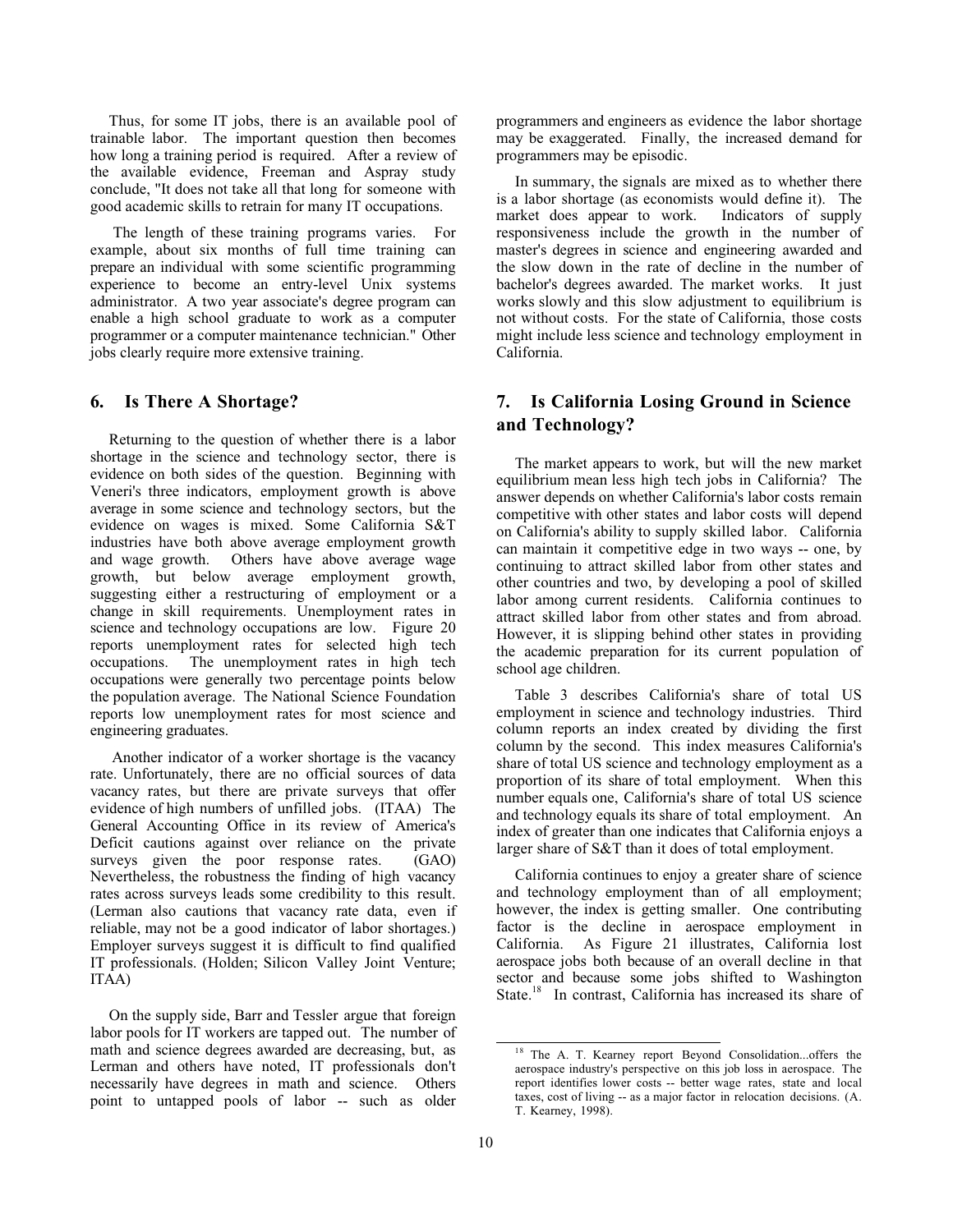Thus, for some IT jobs, there is an available pool of trainable labor. The important question then becomes how long a training period is required. After a review of the available evidence, Freeman and Aspray study conclude, "It does not take all that long for someone with good academic skills to retrain for many IT occupations.

 The length of these training programs varies. For example, about six months of full time training can prepare an individual with some scientific programming experience to become an entry-level Unix systems administrator. A two year associate's degree program can enable a high school graduate to work as a computer programmer or a computer maintenance technician." Other jobs clearly require more extensive training.

#### **6. Is There A Shortage?**

Returning to the question of whether there is a labor shortage in the science and technology sector, there is evidence on both sides of the question. Beginning with Veneri's three indicators, employment growth is above average in some science and technology sectors, but the evidence on wages is mixed. Some California S&T industries have both above average employment growth and wage growth. Others have above average wage growth, but below average employment growth, suggesting either a restructuring of employment or a change in skill requirements. Unemployment rates in science and technology occupations are low. Figure 20 reports unemployment rates for selected high tech occupations. The unemployment rates in high tech occupations were generally two percentage points below the population average. The National Science Foundation reports low unemployment rates for most science and engineering graduates.

Another indicator of a worker shortage is the vacancy rate. Unfortunately, there are no official sources of data vacancy rates, but there are private surveys that offer evidence of high numbers of unfilled jobs. (ITAA) The General Accounting Office in its review of America's Deficit cautions against over reliance on the private surveys given the poor response rates. (GAO) Nevertheless, the robustness the finding of high vacancy rates across surveys leads some credibility to this result. (Lerman also cautions that vacancy rate data, even if reliable, may not be a good indicator of labor shortages.) Employer surveys suggest it is difficult to find qualified IT professionals. (Holden; Silicon Valley Joint Venture; ITAA)

On the supply side, Barr and Tessler argue that foreign labor pools for IT workers are tapped out. The number of math and science degrees awarded are decreasing, but, as Lerman and others have noted, IT professionals don't necessarily have degrees in math and science. Others point to untapped pools of labor -- such as older

programmers and engineers as evidence the labor shortage may be exaggerated. Finally, the increased demand for programmers may be episodic.

In summary, the signals are mixed as to whether there is a labor shortage (as economists would define it). The market does appear to work. Indicators of supply market does appear to work. responsiveness include the growth in the number of master's degrees in science and engineering awarded and the slow down in the rate of decline in the number of bachelor's degrees awarded. The market works. It just works slowly and this slow adjustment to equilibrium is not without costs. For the state of California, those costs might include less science and technology employment in California.

## **7. Is California Losing Ground in Science and Technology?**

The market appears to work, but will the new market equilibrium mean less high tech jobs in California? The answer depends on whether California's labor costs remain competitive with other states and labor costs will depend on California's ability to supply skilled labor. California can maintain it competitive edge in two ways -- one, by continuing to attract skilled labor from other states and other countries and two, by developing a pool of skilled labor among current residents. California continues to attract skilled labor from other states and from abroad. However, it is slipping behind other states in providing the academic preparation for its current population of school age children.

Table 3 describes California's share of total US employment in science and technology industries. Third column reports an index created by dividing the first column by the second. This index measures California's share of total US science and technology employment as a proportion of its share of total employment. When this number equals one, California's share of total US science and technology equals its share of total employment. An index of greater than one indicates that California enjoys a larger share of S&T than it does of total employment.

California continues to enjoy a greater share of science and technology employment than of all employment; however, the index is getting smaller. One contributing factor is the decline in aerospace employment in California. As Figure 21 illustrates, California lost aerospace jobs both because of an overall decline in that sector and because some jobs shifted to Washington State.<sup>18</sup> In contrast, California has increased its share of

<sup>&</sup>lt;sup>18</sup> The A. T. Kearney report Beyond Consolidation...offers the aerospace industry's perspective on this job loss in aerospace. The report identifies lower costs -- better wage rates, state and local taxes, cost of living -- as a major factor in relocation decisions. (A. T. Kearney, 1998).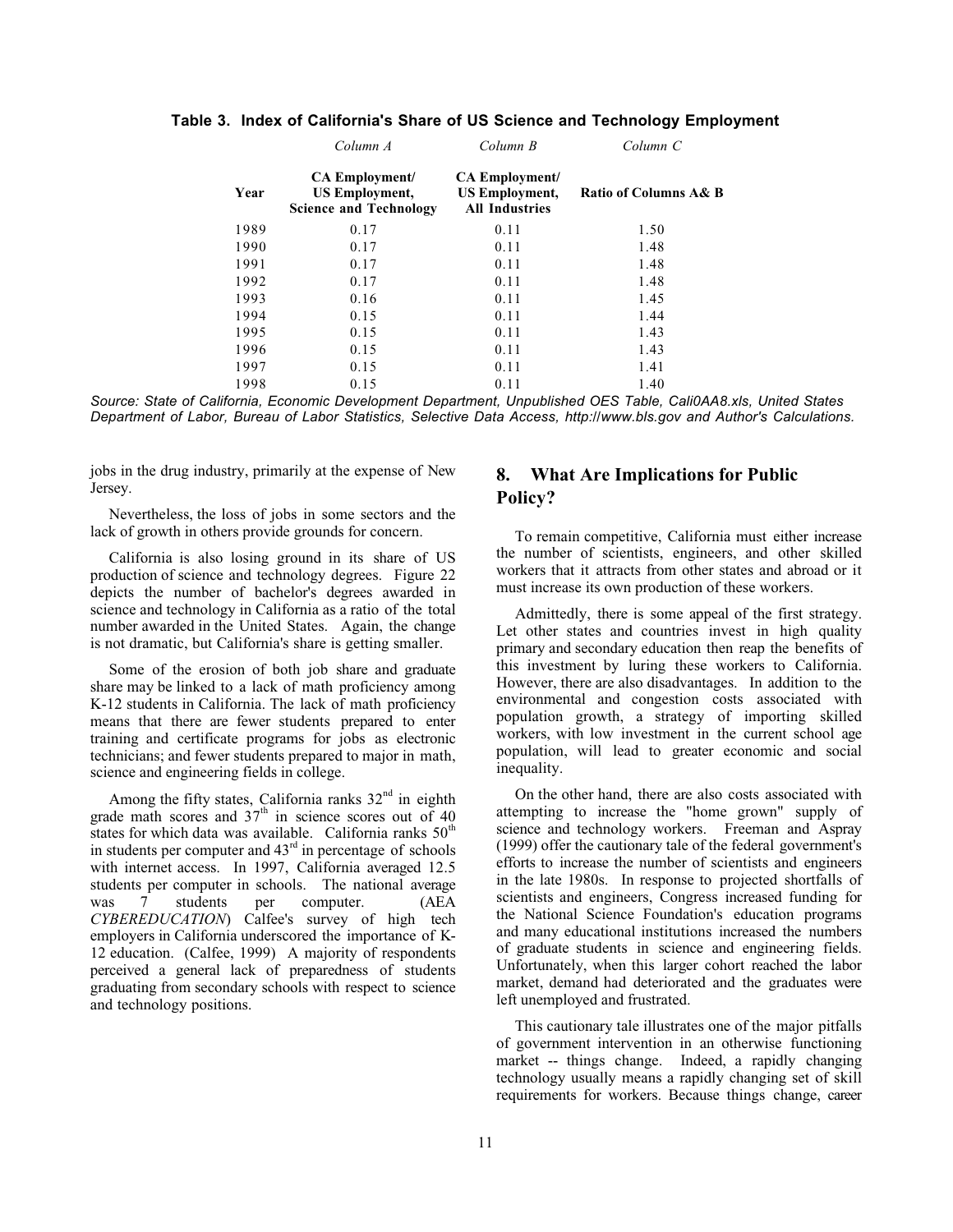|      | Column A                                                                        | Column B                                                                | Column C              |
|------|---------------------------------------------------------------------------------|-------------------------------------------------------------------------|-----------------------|
| Year | <b>CA Employment/</b><br><b>US Employment,</b><br><b>Science and Technology</b> | <b>CA Employment/</b><br><b>US Employment,</b><br><b>All Industries</b> | Ratio of Columns A& B |
| 1989 | 0.17                                                                            | 0.11                                                                    | 1.50                  |
| 1990 | 0.17                                                                            | 0.11                                                                    | 1.48                  |
| 1991 | 0.17                                                                            | 0.11                                                                    | 1.48                  |
| 1992 | 0.17                                                                            | 0.11                                                                    | 1.48                  |
| 1993 | 0.16                                                                            | 0.11                                                                    | 1.45                  |
| 1994 | 0.15                                                                            | 0.11                                                                    | 1.44                  |
| 1995 | 0.15                                                                            | 0.11                                                                    | 1.43                  |
| 1996 | 0.15                                                                            | 0.11                                                                    | 1.43                  |
| 1997 | 0.15                                                                            | 0.11                                                                    | 1.41                  |
| 1998 | 0.15                                                                            | 0.11                                                                    | 1.40                  |

**Table 3. Index of California's Share of US Science and Technology Employment**

*Source: State of California, Economic Development Department, Unpublished OES Table, Cali0AA8.xls, United States Department of Labor, Bureau of Labor Statistics, Selective Data Access, http://www.bls.gov and Author's Calculations.*

jobs in the drug industry, primarily at the expense of New Jersey.

Nevertheless, the loss of jobs in some sectors and the lack of growth in others provide grounds for concern.

California is also losing ground in its share of US production of science and technology degrees. Figure 22 depicts the number of bachelor's degrees awarded in science and technology in California as a ratio of the total number awarded in the United States. Again, the change is not dramatic, but California's share is getting smaller.

Some of the erosion of both job share and graduate share may be linked to a lack of math proficiency among K-12 students in California. The lack of math proficiency means that there are fewer students prepared to enter training and certificate programs for jobs as electronic technicians; and fewer students prepared to major in math, science and engineering fields in college.

Among the fifty states, California ranks  $32<sup>nd</sup>$  in eighth grade math scores and  $37<sup>th</sup>$  in science scores out of 40 states for which data was available. California ranks  $50<sup>th</sup>$ in students per computer and  $43<sup>rd</sup>$  in percentage of schools with internet access. In 1997, California averaged 12.5 students per computer in schools. The national average was 7 students per computer. (AEA *CYBEREDUCATION*) Calfee's survey of high tech employers in California underscored the importance of K-12 education. (Calfee, 1999) A majority of respondents perceived a general lack of preparedness of students graduating from secondary schools with respect to science and technology positions.

## **8. What Are Implications for Public Policy?**

To remain competitive, California must either increase the number of scientists, engineers, and other skilled workers that it attracts from other states and abroad or it must increase its own production of these workers.

Admittedly, there is some appeal of the first strategy. Let other states and countries invest in high quality primary and secondary education then reap the benefits of this investment by luring these workers to California. However, there are also disadvantages. In addition to the environmental and congestion costs associated with population growth, a strategy of importing skilled workers, with low investment in the current school age population, will lead to greater economic and social inequality.

On the other hand, there are also costs associated with attempting to increase the "home grown" supply of science and technology workers. Freeman and Aspray (1999) offer the cautionary tale of the federal government's efforts to increase the number of scientists and engineers in the late 1980s. In response to projected shortfalls of scientists and engineers, Congress increased funding for the National Science Foundation's education programs and many educational institutions increased the numbers of graduate students in science and engineering fields. Unfortunately, when this larger cohort reached the labor market, demand had deteriorated and the graduates were left unemployed and frustrated.

This cautionary tale illustrates one of the major pitfalls of government intervention in an otherwise functioning market -- things change. Indeed, a rapidly changing technology usually means a rapidly changing set of skill requirements for workers. Because things change, career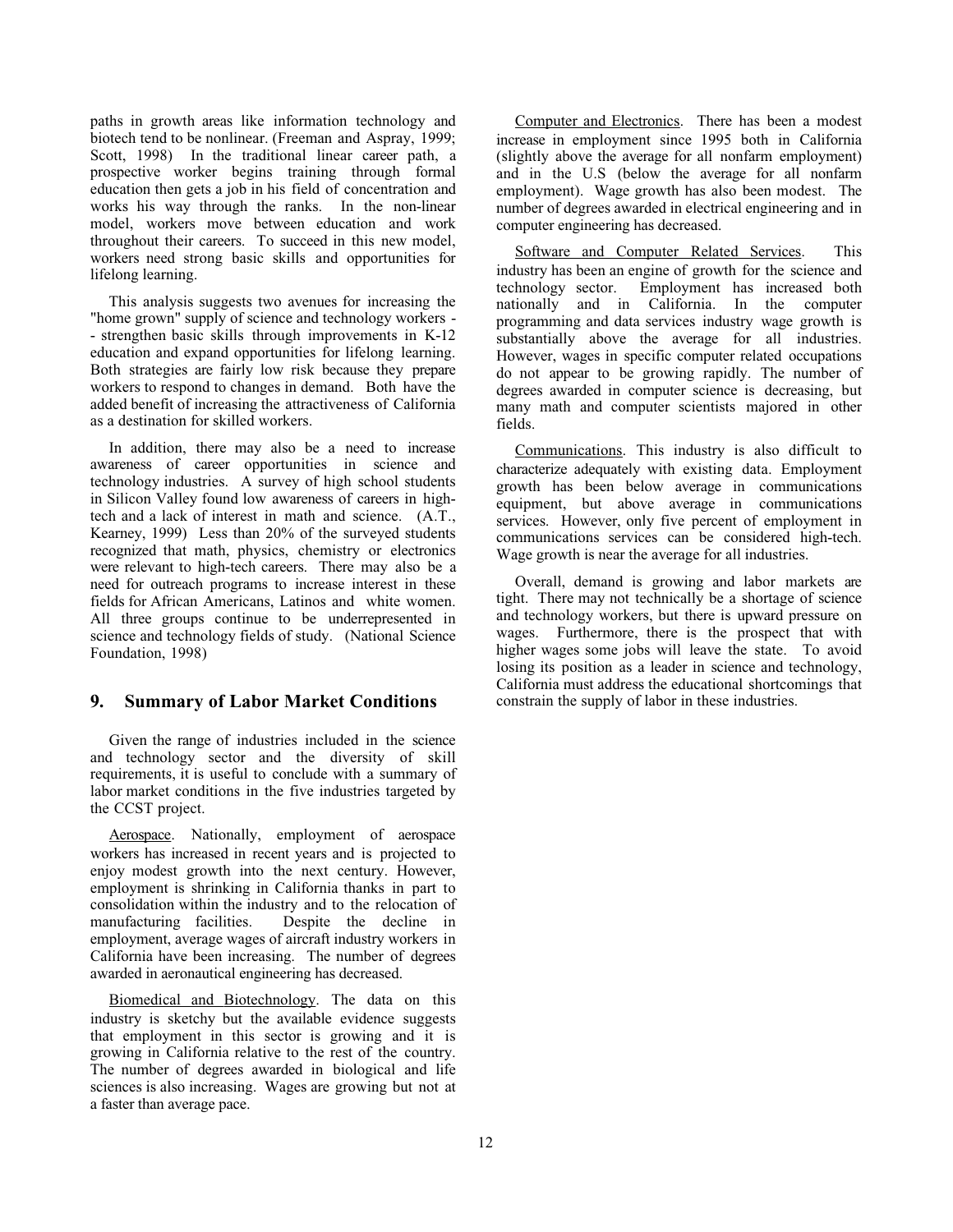paths in growth areas like information technology and biotech tend to be nonlinear. (Freeman and Aspray, 1999; Scott, 1998) In the traditional linear career path, a prospective worker begins training through formal education then gets a job in his field of concentration and works his way through the ranks. In the non-linear model, workers move between education and work throughout their careers. To succeed in this new model, workers need strong basic skills and opportunities for lifelong learning.

This analysis suggests two avenues for increasing the "home grown" supply of science and technology workers - - strengthen basic skills through improvements in K-12 education and expand opportunities for lifelong learning. Both strategies are fairly low risk because they prepare workers to respond to changes in demand. Both have the added benefit of increasing the attractiveness of California as a destination for skilled workers.

In addition, there may also be a need to increase awareness of career opportunities in science and technology industries. A survey of high school students in Silicon Valley found low awareness of careers in hightech and a lack of interest in math and science. (A.T., Kearney, 1999) Less than 20% of the surveyed students recognized that math, physics, chemistry or electronics were relevant to high-tech careers. There may also be a need for outreach programs to increase interest in these fields for African Americans, Latinos and white women. All three groups continue to be underrepresented in science and technology fields of study. (National Science Foundation, 1998)

#### **9. Summary of Labor Market Conditions**

Given the range of industries included in the science and technology sector and the diversity of skill requirements, it is useful to conclude with a summary of labor market conditions in the five industries targeted by the CCST project.

Aerospace. Nationally, employment of aerospace workers has increased in recent years and is projected to enjoy modest growth into the next century. However, employment is shrinking in California thanks in part to consolidation within the industry and to the relocation of manufacturing facilities. Despite the decline in employment, average wages of aircraft industry workers in California have been increasing. The number of degrees awarded in aeronautical engineering has decreased.

Biomedical and Biotechnology. The data on this industry is sketchy but the available evidence suggests that employment in this sector is growing and it is growing in California relative to the rest of the country. The number of degrees awarded in biological and life sciences is also increasing. Wages are growing but not at a faster than average pace.

Computer and Electronics. There has been a modest increase in employment since 1995 both in California (slightly above the average for all nonfarm employment) and in the U.S (below the average for all nonfarm employment). Wage growth has also been modest. The number of degrees awarded in electrical engineering and in computer engineering has decreased.

Software and Computer Related Services. This industry has been an engine of growth for the science and technology sector. Employment has increased both nationally and in California. In the computer programming and data services industry wage growth is substantially above the average for all industries. However, wages in specific computer related occupations do not appear to be growing rapidly. The number of degrees awarded in computer science is decreasing, but many math and computer scientists majored in other fields.

Communications. This industry is also difficult to characterize adequately with existing data. Employment growth has been below average in communications equipment, but above average in communications services. However, only five percent of employment in communications services can be considered high-tech. Wage growth is near the average for all industries.

Overall, demand is growing and labor markets are tight. There may not technically be a shortage of science and technology workers, but there is upward pressure on wages. Furthermore, there is the prospect that with higher wages some jobs will leave the state. To avoid losing its position as a leader in science and technology, California must address the educational shortcomings that constrain the supply of labor in these industries.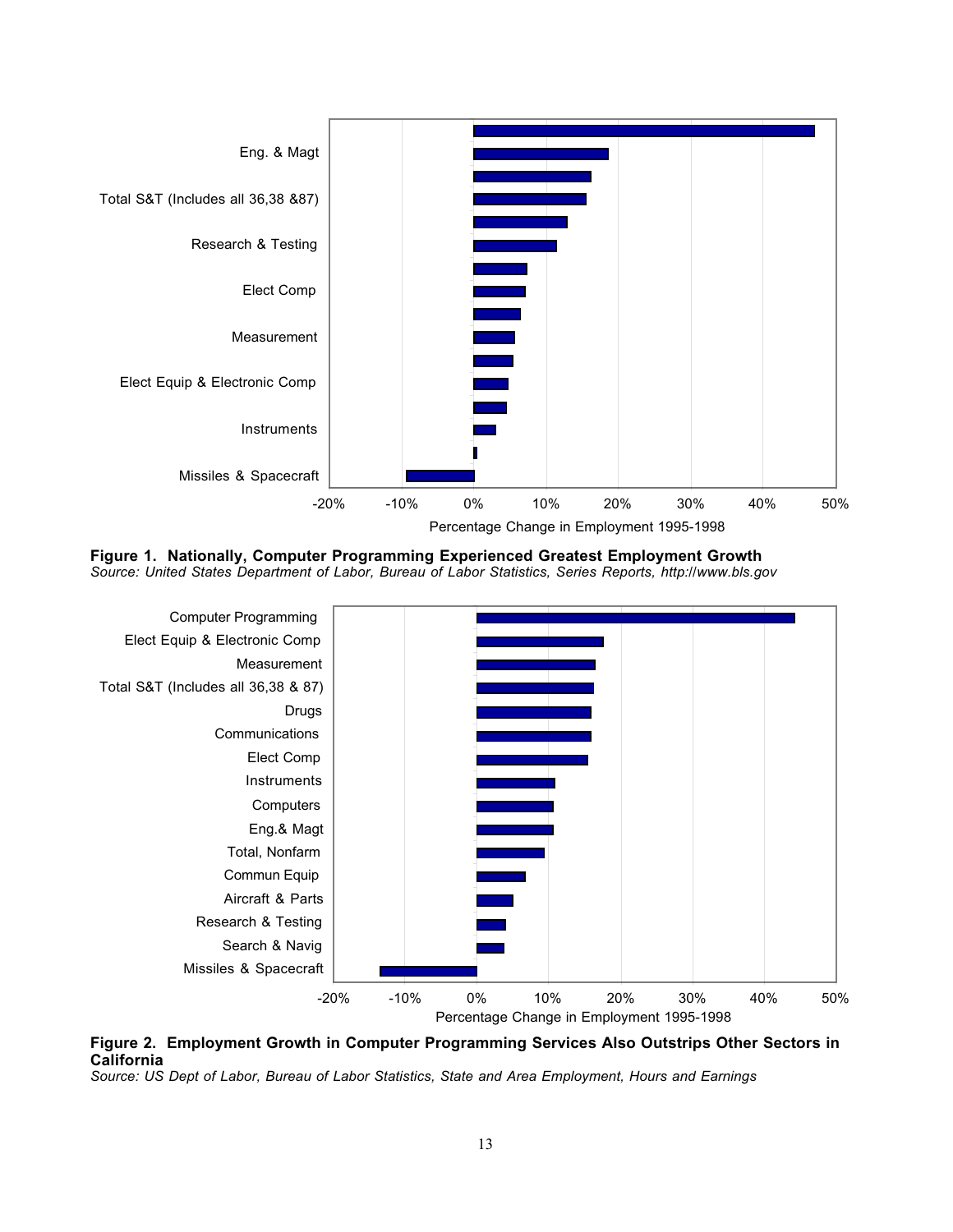

**Figure 1. Nationally, Computer Programming Experienced Greatest Employment Growth** *Source: United States Department of Labor, Bureau of Labor Statistics, Series Reports, http://www.bls.gov*



**Figure 2. Employment Growth in Computer Programming Services Also Outstrips Other Sectors in California**

*Source: US Dept of Labor, Bureau of Labor Statistics, State and Area Employment, Hours and Earnings*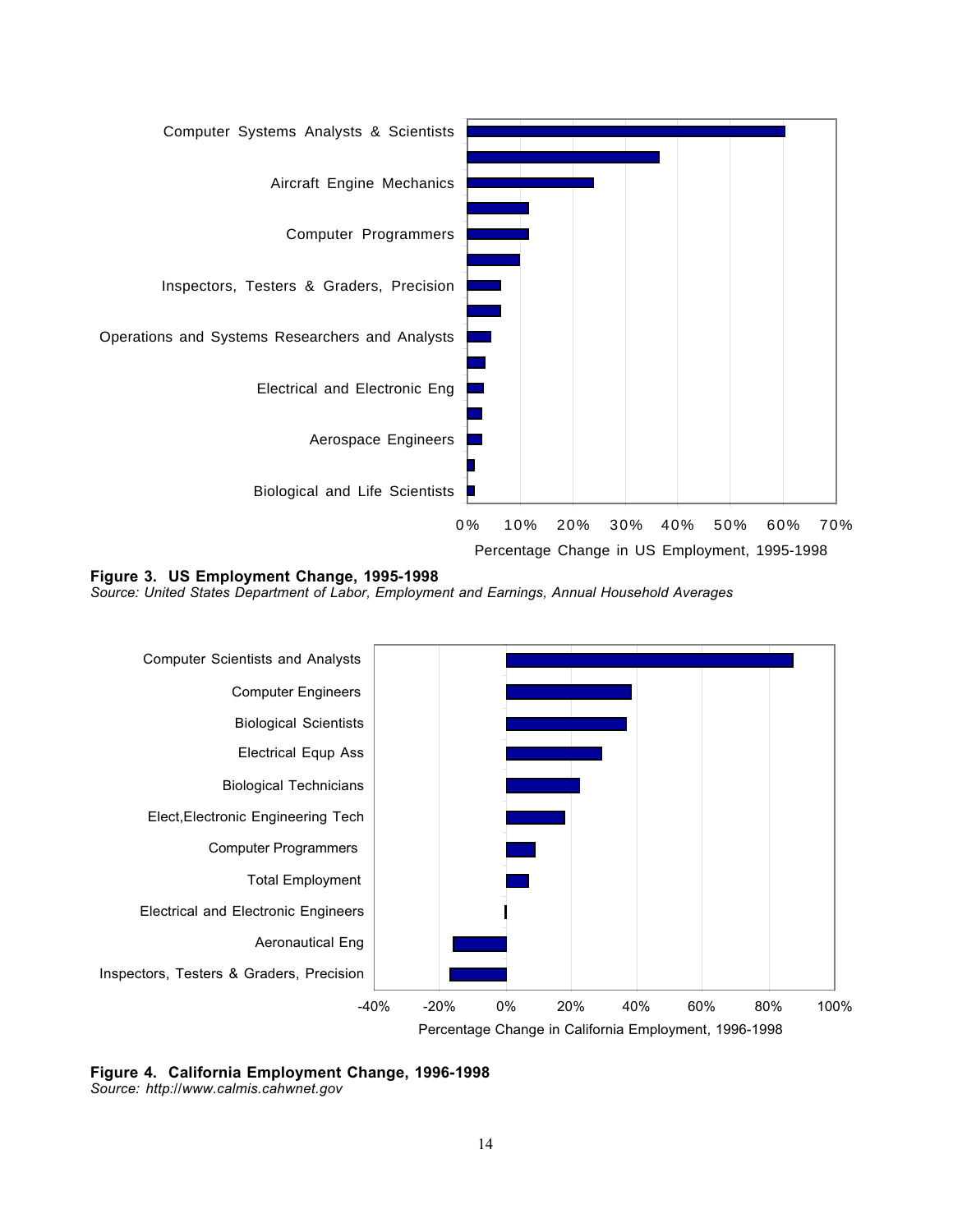

**Figure 3. US Employment Change, 1995-1998**

*Source: United States Department of Labor, Employment and Earnings, Annual Household Averages*



**Figure 4. California Employment Change, 1996-1998** *Source: http://www.calmis.cahwnet.gov*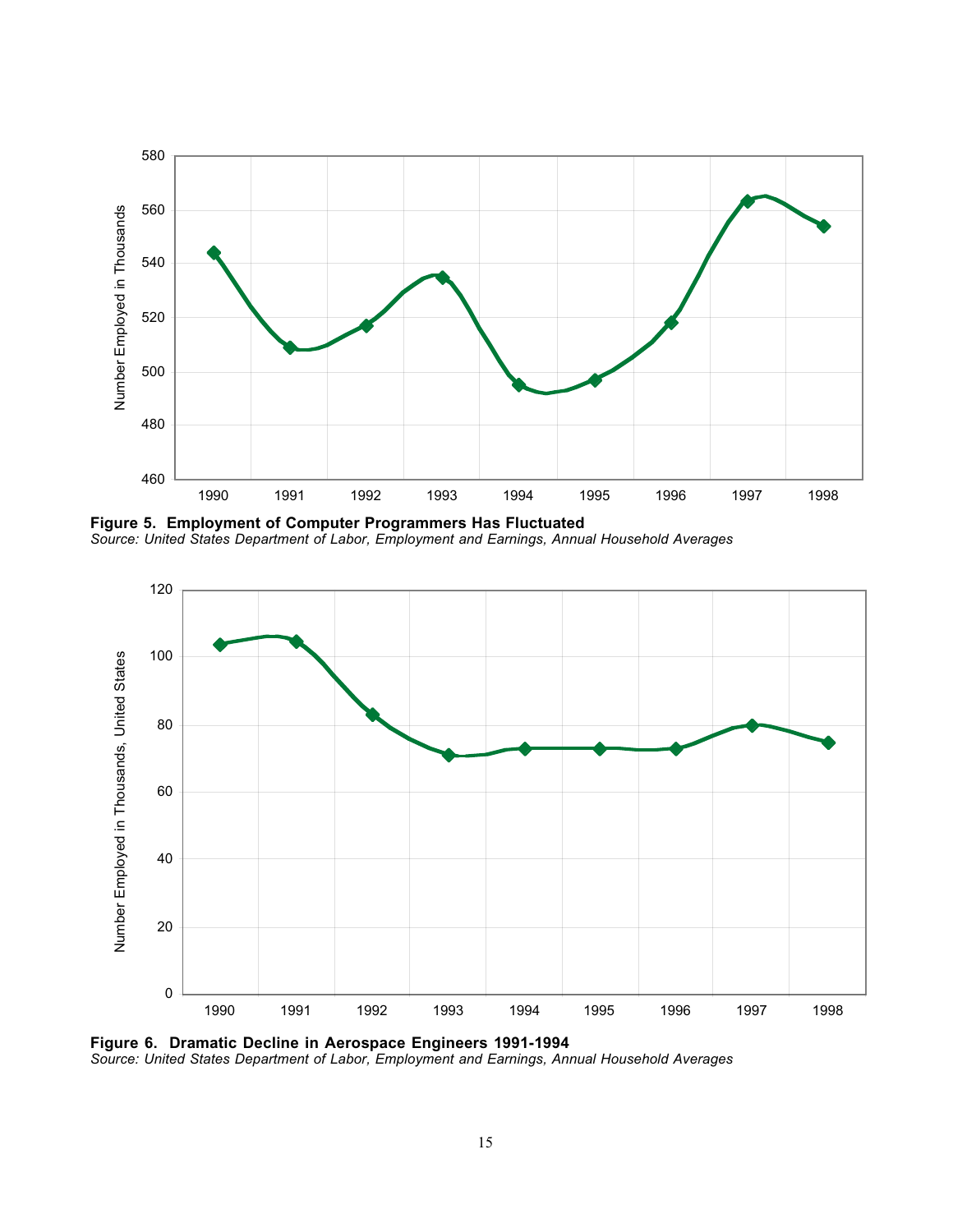

**Figure 5. Employment of Computer Programmers Has Fluctuated** *Source: United States Department of Labor, Employment and Earnings, Annual Household Averages*



**Figure 6. Dramatic Decline in Aerospace Engineers 1991-1994** *Source: United States Department of Labor, Employment and Earnings, Annual Household Averages*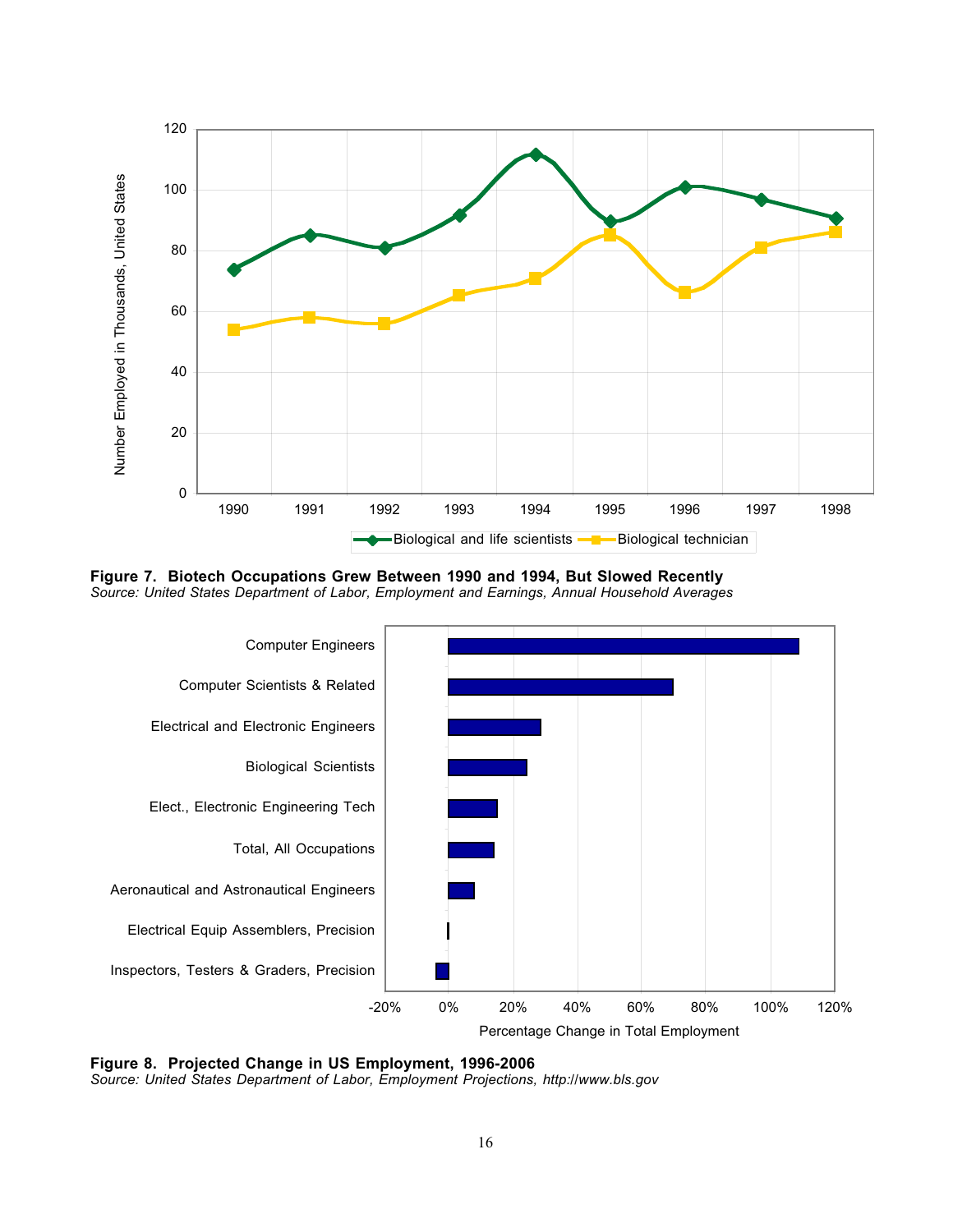

**Figure 7. Biotech Occupations Grew Between 1990 and 1994, But Slowed Recently** *Source: United States Department of Labor, Employment and Earnings, Annual Household Averages*



**Figure 8. Projected Change in US Employment, 1996-2006**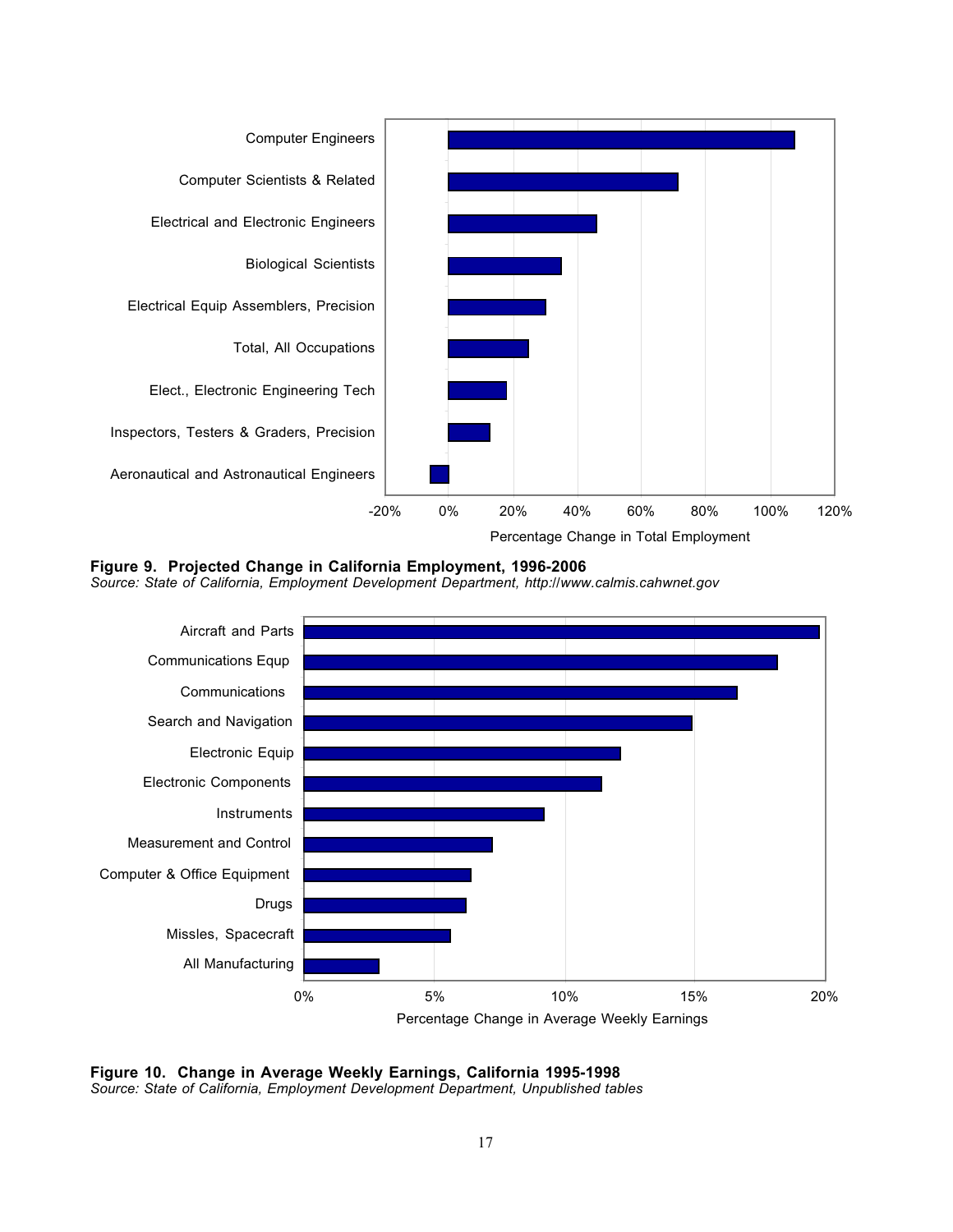

**Figure 9. Projected Change in California Employment, 1996-2006**

*Source: State of California, Employment Development Department, http://www.calmis.cahwnet.gov*



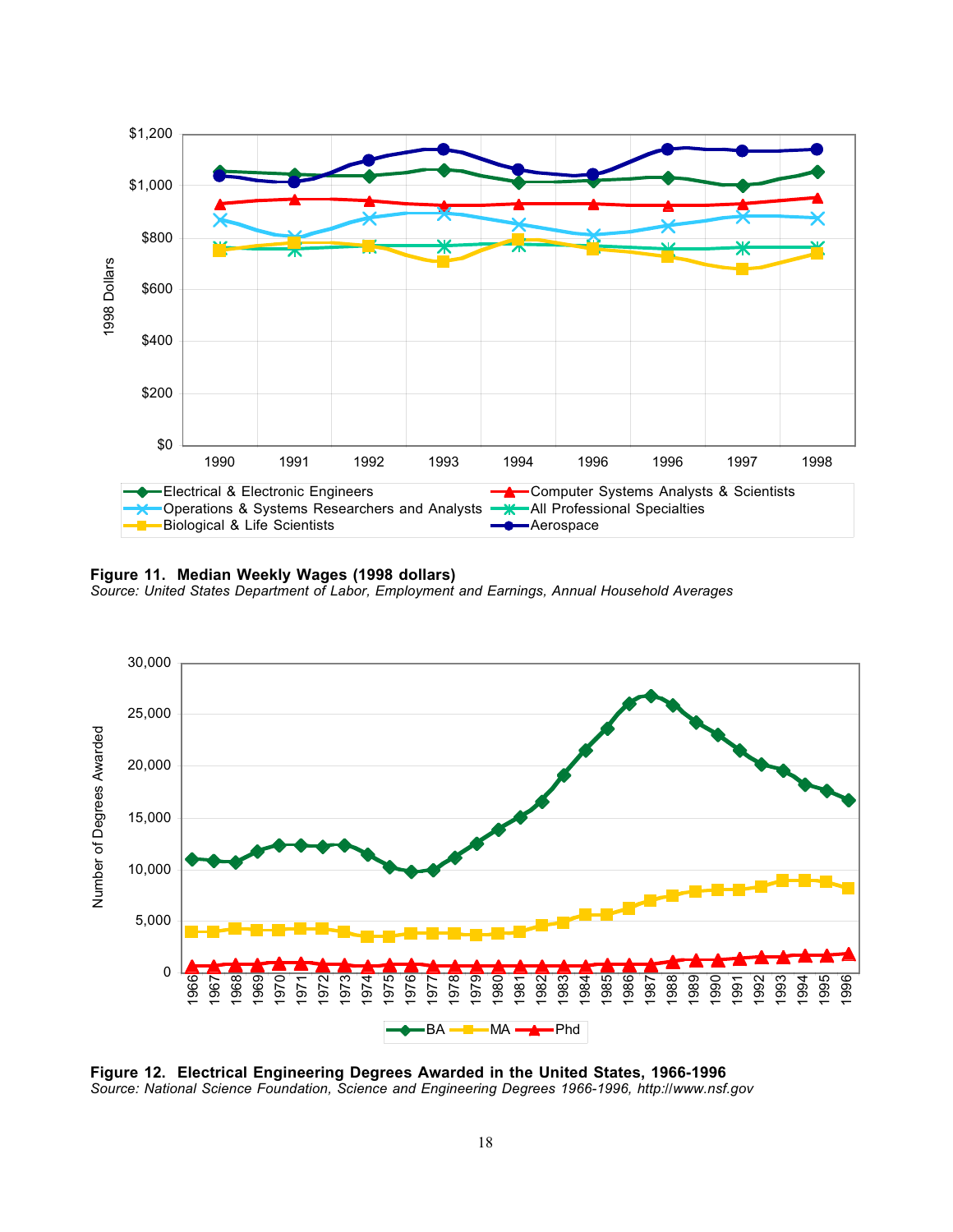

#### **Figure 11. Median Weekly Wages (1998 dollars)**

*Source: United States Department of Labor, Employment and Earnings, Annual Household Averages*



**Figure 12. Electrical Engineering Degrees Awarded in the United States, 1966-1996**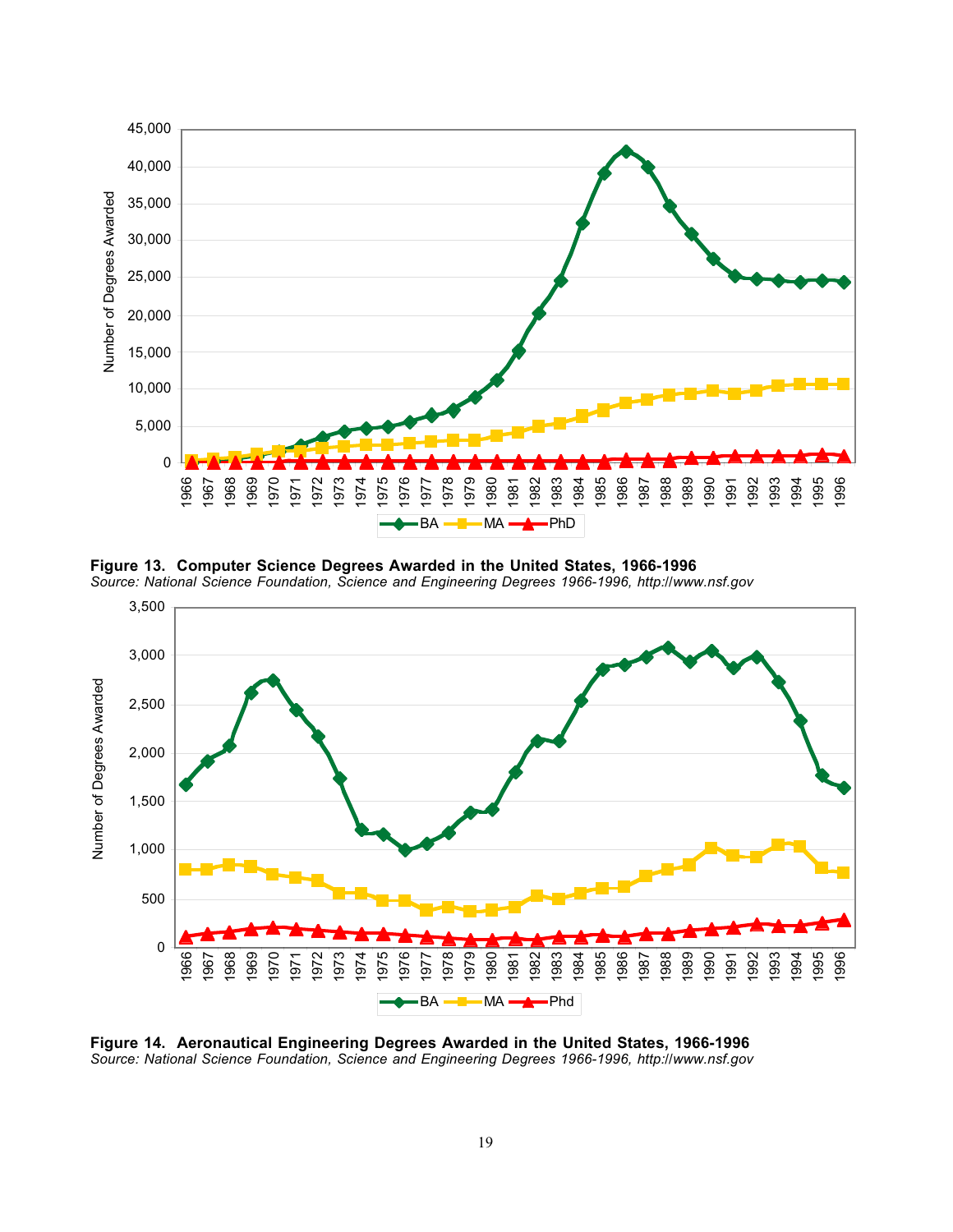

**Figure 13. Computer Science Degrees Awarded in the United States, 1966-1996** *Source: National Science Foundation, Science and Engineering Degrees 1966-1996, http://www.nsf.gov*



**Figure 14. Aeronautical Engineering Degrees Awarded in the United States, 1966-1996**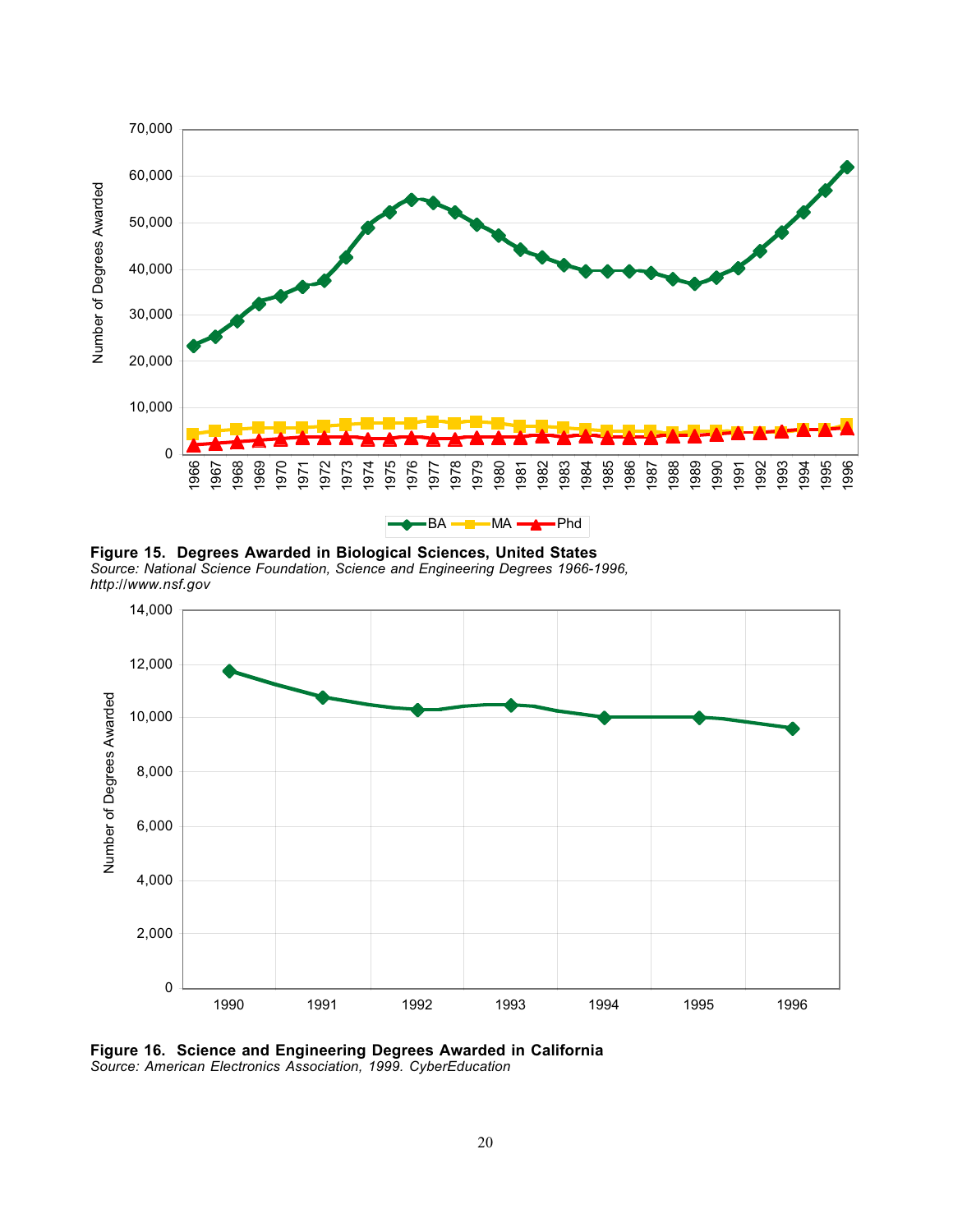

**Figure 15. Degrees Awarded in Biological Sciences, United States** *Source: National Science Foundation, Science and Engineering Degrees 1966-1996, http://www.nsf.gov*



**Figure 16. Science and Engineering Degrees Awarded in California**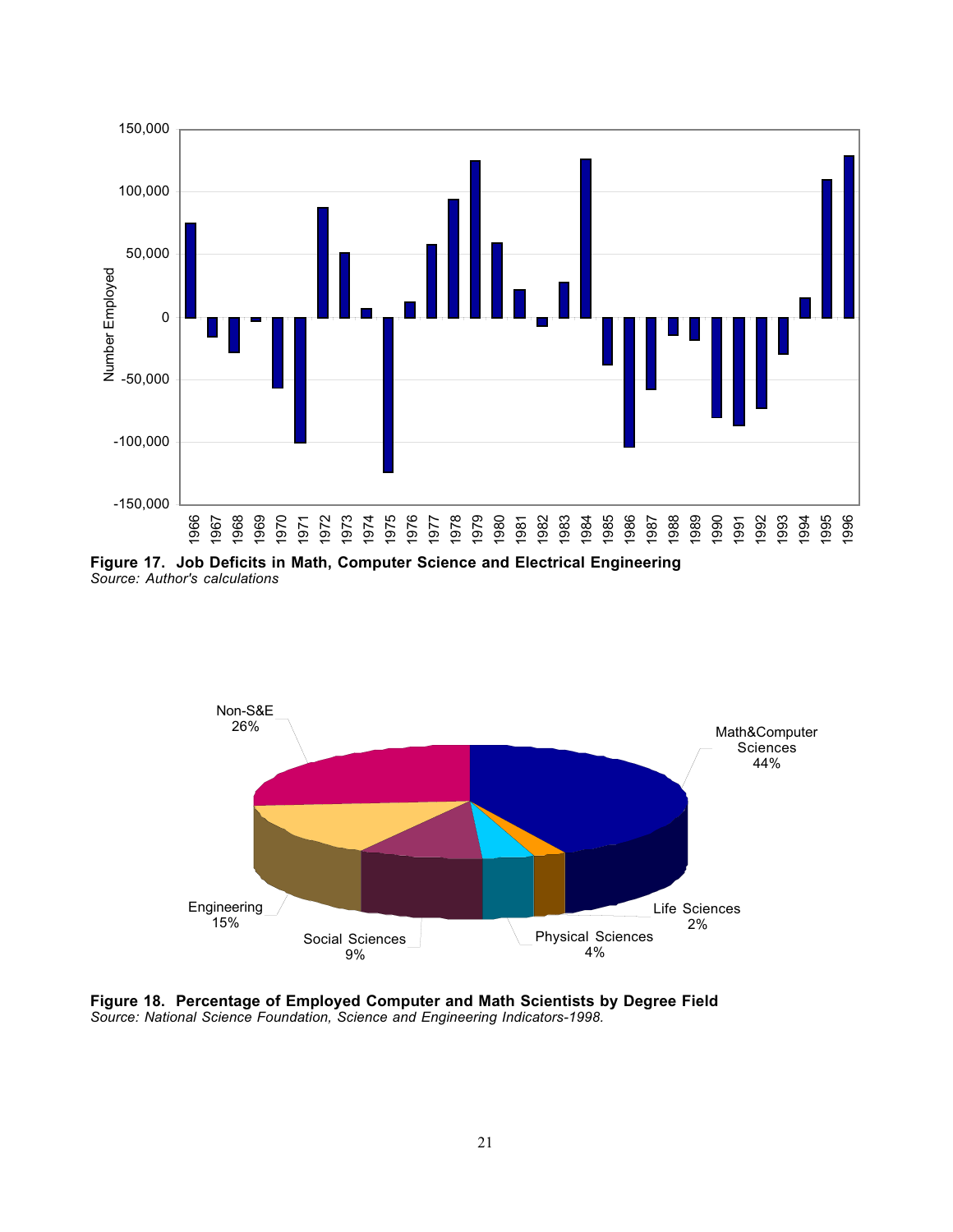

**Figure 17. Job Deficits in Math, Computer Science and Electrical Engineering** *Source: Author's calculations*



Figure 18. Percentage of Employed Computer and Math Scientists by Degree Field Source: National Science Foundation, Science and Engineering Indicators-1998.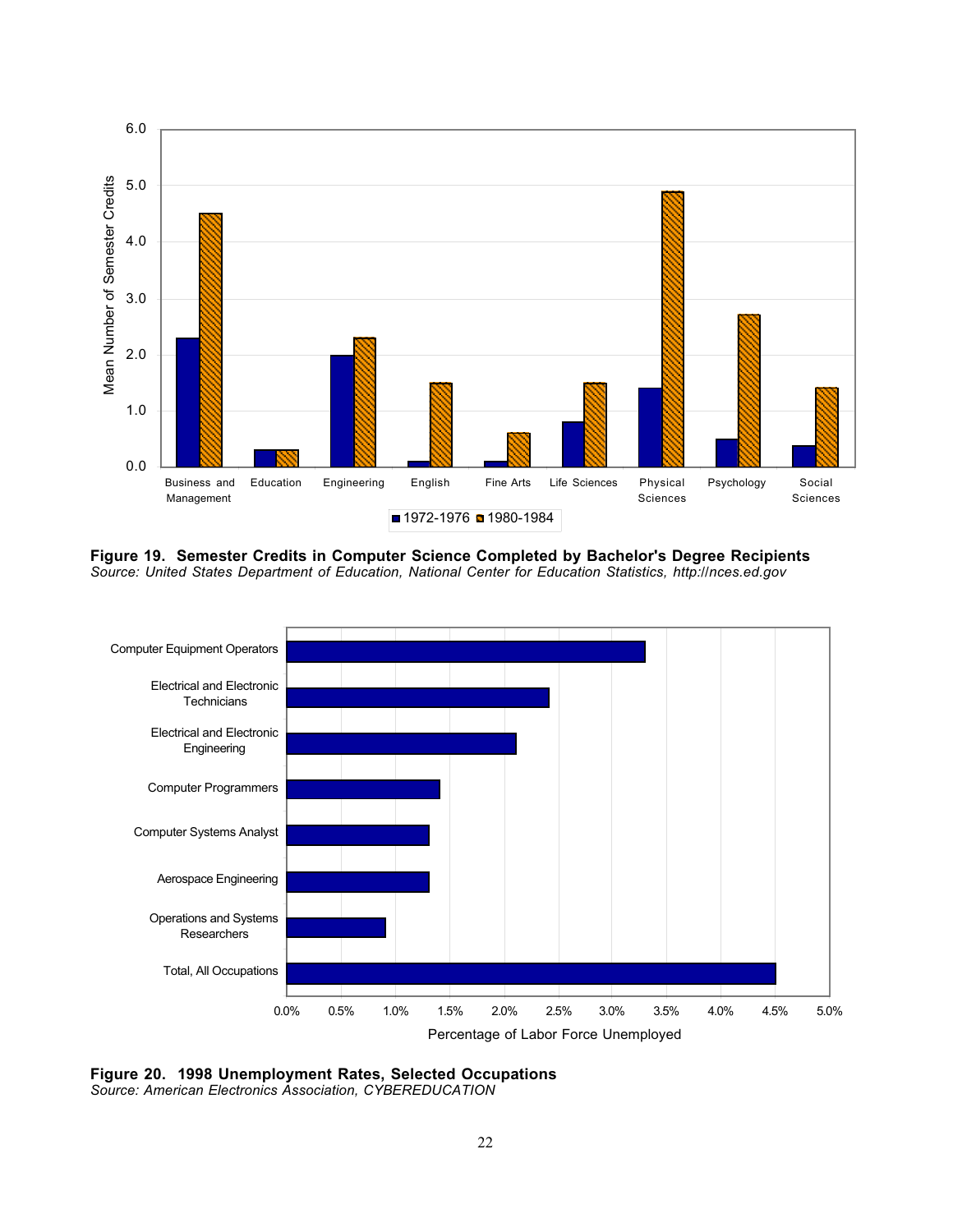

**Figure 19. Semester Credits in Computer Science Completed by Bachelor's Degree Recipients** *Source: United States Department of Education, National Center for Education Statistics, http://nces.ed.gov*



**Figure 20. 1998 Unemployment Rates, Selected Occupations**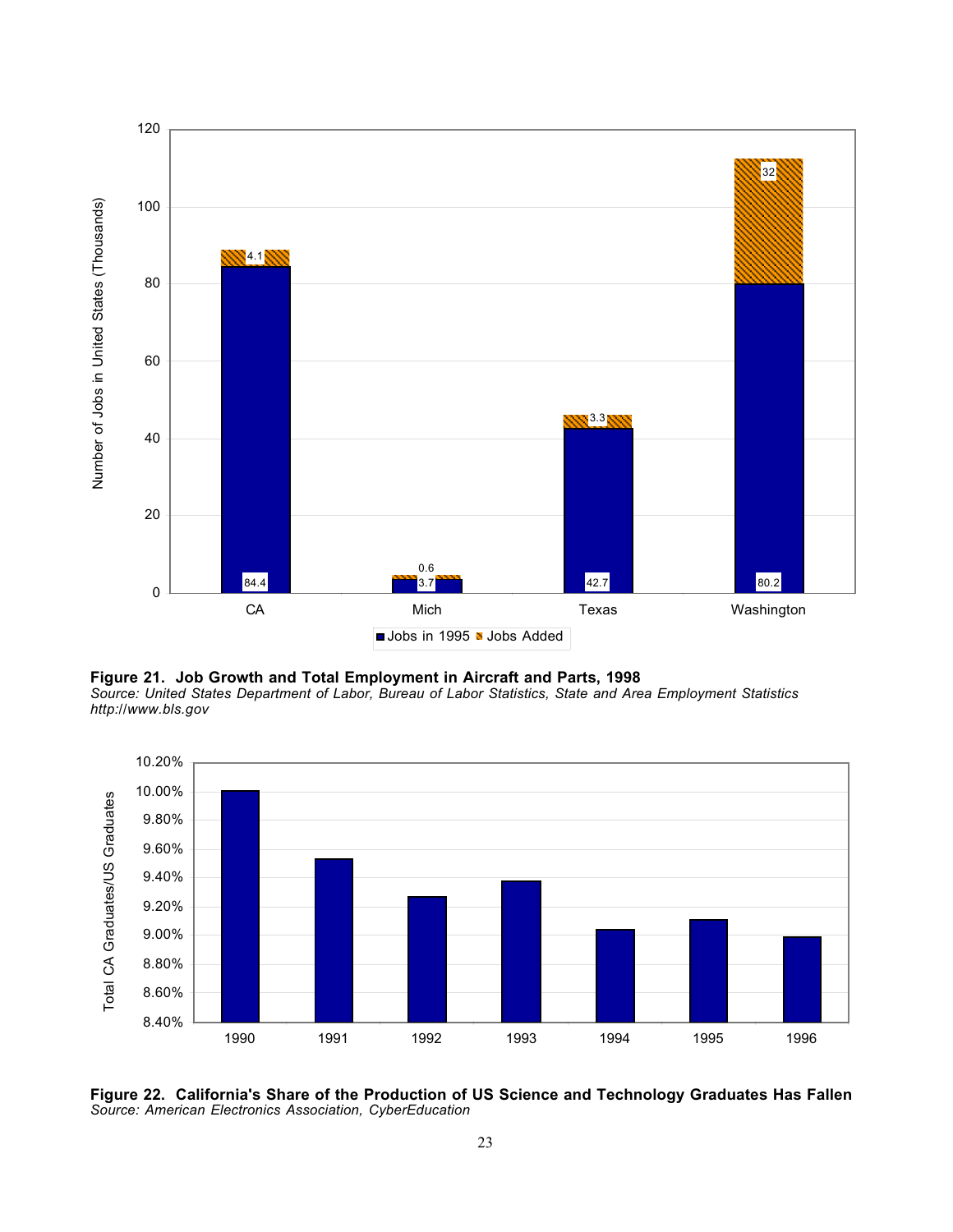



*Source: United States Department of Labor, Bureau of Labor Statistics, State and Area Employment Statistics http://www.bls.gov*



**Figure 22. California's Share of the Production of US Science and Technology Graduates Has Fallen**